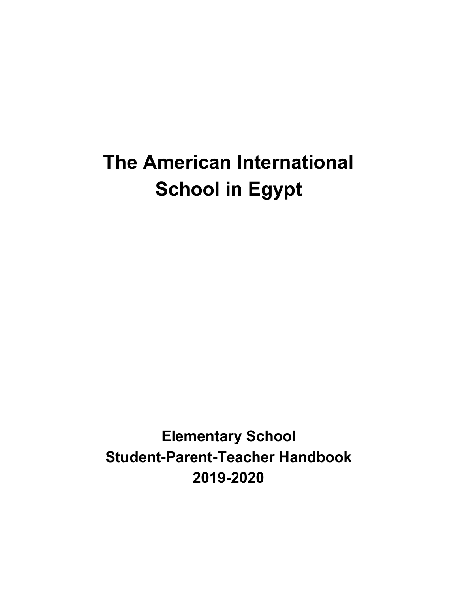# **The American International School in Egypt**

**Elementary School Student-Parent-Teacher Handbook 2019-2020**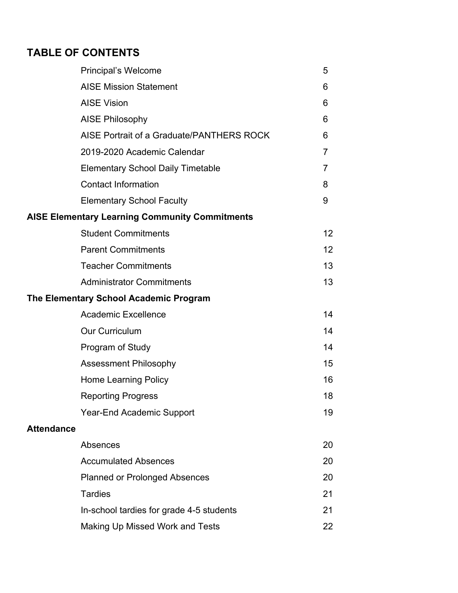# **TABLE OF CONTENTS**

|                   | <b>Principal's Welcome</b>                            | 5               |
|-------------------|-------------------------------------------------------|-----------------|
|                   | <b>AISE Mission Statement</b>                         | 6               |
|                   | <b>AISE Vision</b>                                    | 6               |
|                   | <b>AISE Philosophy</b>                                | 6               |
|                   | AISE Portrait of a Graduate/PANTHERS ROCK             | 6               |
|                   | 2019-2020 Academic Calendar                           | $\overline{7}$  |
|                   | <b>Elementary School Daily Timetable</b>              | 7               |
|                   | <b>Contact Information</b>                            | 8               |
|                   | <b>Elementary School Faculty</b>                      | 9               |
|                   | <b>AISE Elementary Learning Community Commitments</b> |                 |
|                   | <b>Student Commitments</b>                            | 12 <sup>2</sup> |
|                   | <b>Parent Commitments</b>                             | 12 <sup>2</sup> |
|                   | <b>Teacher Commitments</b>                            | 13              |
|                   | <b>Administrator Commitments</b>                      | 13              |
|                   | The Elementary School Academic Program                |                 |
|                   | <b>Academic Excellence</b>                            | 14              |
|                   | <b>Our Curriculum</b>                                 | 14              |
|                   | Program of Study                                      | 14              |
|                   | <b>Assessment Philosophy</b>                          | 15              |
|                   | <b>Home Learning Policy</b>                           | 16              |
|                   | <b>Reporting Progress</b>                             | 18              |
|                   | <b>Year-End Academic Support</b>                      | 19              |
| <b>Attendance</b> |                                                       |                 |
|                   | Absences                                              | 20              |
|                   | <b>Accumulated Absences</b>                           | 20              |
|                   | <b>Planned or Prolonged Absences</b>                  | 20              |
|                   | <b>Tardies</b>                                        | 21              |
|                   | In-school tardies for grade 4-5 students              | 21              |
|                   | Making Up Missed Work and Tests                       | 22              |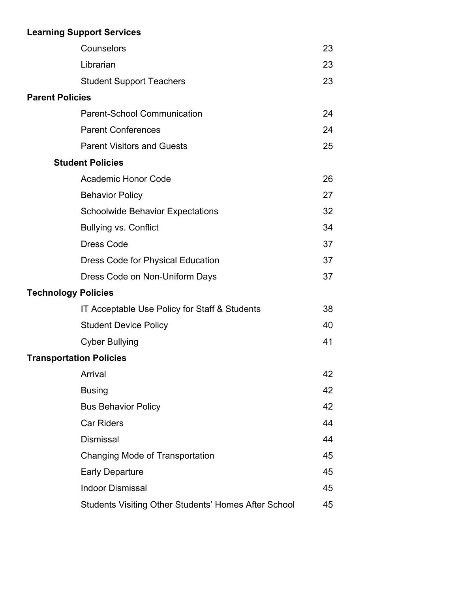# **Learning Support Services**

|                            | Counselors                                           | 23 |
|----------------------------|------------------------------------------------------|----|
|                            | Librarian                                            | 23 |
|                            | <b>Student Support Teachers</b>                      | 23 |
| <b>Parent Policies</b>     |                                                      |    |
|                            | <b>Parent-School Communication</b>                   | 24 |
|                            | <b>Parent Conferences</b>                            | 24 |
|                            | <b>Parent Visitors and Guests</b>                    | 25 |
|                            | <b>Student Policies</b>                              |    |
|                            | <b>Academic Honor Code</b>                           | 26 |
|                            | <b>Behavior Policy</b>                               | 27 |
|                            | <b>Schoolwide Behavior Expectations</b>              | 32 |
|                            | <b>Bullying vs. Conflict</b>                         | 34 |
|                            | <b>Dress Code</b>                                    | 37 |
|                            | <b>Dress Code for Physical Education</b>             | 37 |
|                            | Dress Code on Non-Uniform Days                       | 37 |
| <b>Technology Policies</b> |                                                      |    |
|                            | IT Acceptable Use Policy for Staff & Students        | 38 |
|                            | <b>Student Device Policy</b>                         | 40 |
|                            | <b>Cyber Bullying</b>                                | 41 |
|                            | <b>Transportation Policies</b>                       |    |
|                            | Arrival                                              | 42 |
|                            | <b>Busing</b>                                        | 42 |
|                            | <b>Bus Behavior Policy</b>                           | 42 |
|                            | <b>Car Riders</b>                                    | 44 |
|                            | <b>Dismissal</b>                                     | 44 |
|                            | Changing Mode of Transportation                      | 45 |
|                            | <b>Early Departure</b>                               | 45 |
|                            | <b>Indoor Dismissal</b>                              | 45 |
|                            | Students Visiting Other Students' Homes After School | 45 |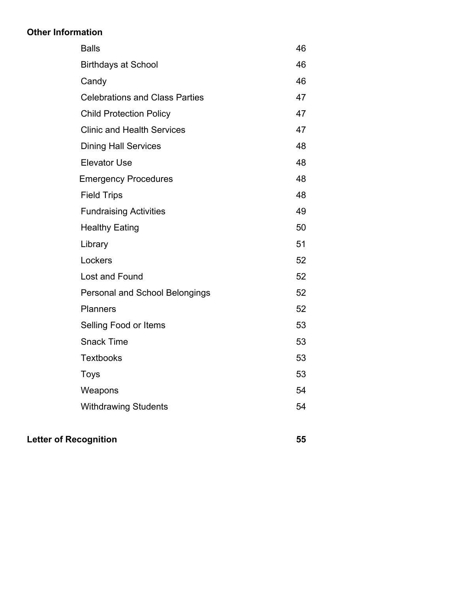### **Other Information**

| 71 HIVIIIKU |                                       |    |
|-------------|---------------------------------------|----|
|             | <b>Balls</b>                          | 46 |
|             | <b>Birthdays at School</b>            | 46 |
|             | Candy                                 | 46 |
|             | <b>Celebrations and Class Parties</b> | 47 |
|             | <b>Child Protection Policy</b>        | 47 |
|             | <b>Clinic and Health Services</b>     | 47 |
|             | <b>Dining Hall Services</b>           | 48 |
|             | <b>Elevator Use</b>                   | 48 |
|             | <b>Emergency Procedures</b>           | 48 |
|             | <b>Field Trips</b>                    | 48 |
|             | <b>Fundraising Activities</b>         | 49 |
|             | <b>Healthy Eating</b>                 | 50 |
|             | Library                               | 51 |
|             | Lockers                               | 52 |
|             | Lost and Found                        | 52 |
|             | Personal and School Belongings        | 52 |
|             | <b>Planners</b>                       | 52 |
|             | Selling Food or Items                 | 53 |
|             | <b>Snack Time</b>                     | 53 |
|             | <b>Textbooks</b>                      | 53 |
|             | <b>Toys</b>                           | 53 |
|             | Weapons                               | 54 |
|             | <b>Withdrawing Students</b>           | 54 |
|             |                                       |    |

**Letter of Recognition 55**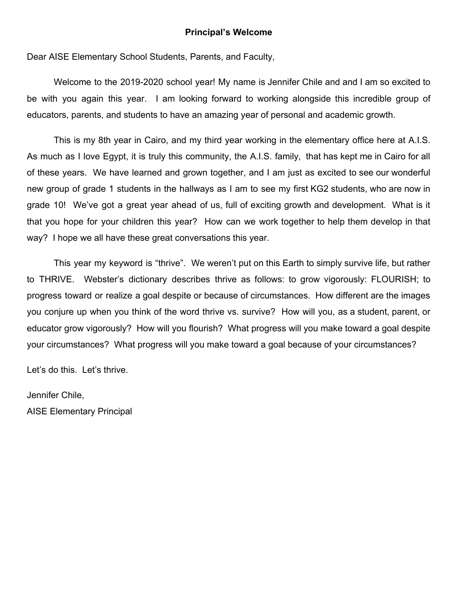#### **Principal's Welcome**

Dear AISE Elementary School Students, Parents, and Faculty,

Welcome to the 2019-2020 school year! My name is Jennifer Chile and and I am so excited to be with you again this year. I am looking forward to working alongside this incredible group of educators, parents, and students to have an amazing year of personal and academic growth.

This is my 8th year in Cairo, and my third year working in the elementary office here at A.I.S. As much as I love Egypt, it is truly this community, the A.I.S. family, that has kept me in Cairo for all of these years. We have learned and grown together, and I am just as excited to see our wonderful new group of grade 1 students in the hallways as I am to see my first KG2 students, who are now in grade 10! We've got a great year ahead of us, full of exciting growth and development. What is it that you hope for your children this year? How can we work together to help them develop in that way? I hope we all have these great conversations this year.

This year my keyword is "thrive". We weren't put on this Earth to simply survive life, but rather to THRIVE. Webster's dictionary describes thrive as follows: to grow vigorously: FLOURISH; to progress toward or realize a goal despite or because of circumstances. How different are the images you conjure up when you think of the word thrive vs. survive? How will you, as a student, parent, or educator grow vigorously? How will you flourish? What progress will you make toward a goal despite your circumstances? What progress will you make toward a goal because of your circumstances?

Let's do this. Let's thrive.

Jennifer Chile,

AISE Elementary Principal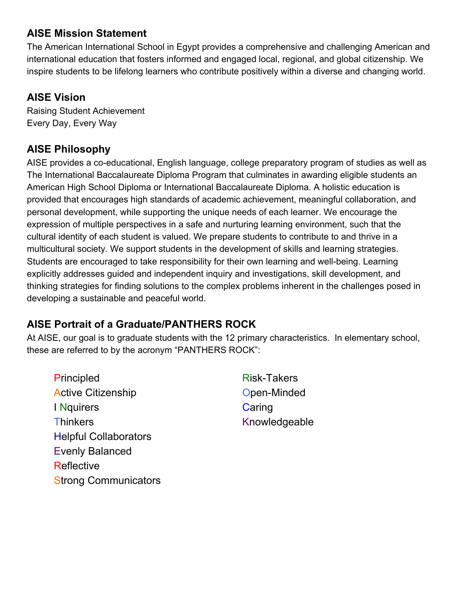### **AISE Mission Statement**

The American International School in Egypt provides a comprehensive and challenging American and international education that fosters informed and engaged local, regional, and global citizenship. We inspire students to be lifelong learners who contribute positively within a diverse and changing world.

### **AISE Vision**

Raising Student Achievement Every Day, Every Way

# **AISE Philosophy**

AISE provides a co-educational, English language, college preparatory program of studies as well as The International Baccalaureate Diploma Program that culminates in awarding eligible students an American High School Diploma or International Baccalaureate Diploma. A holistic education is provided that encourages high standards of academic achievement, meaningful collaboration, and personal development, while supporting the unique needs of each learner. We encourage the expression of multiple perspectives in a safe and nurturing learning environment, such that the cultural identity of each student is valued. We prepare students to contribute to and thrive in a multicultural society. We support students in the development of skills and learning strategies. Students are encouraged to take responsibility for their own learning and well-being. Learning explicitly addresses guided and independent inquiry and investigations, skill development, and thinking strategies for finding solutions to the complex problems inherent in the challenges posed in developing a sustainable and peaceful world.

# **AISE Portrait of a Graduate/PANTHERS ROCK**

At AISE, our goal is to graduate students with the 12 primary characteristics. In elementary school, these are referred to by the acronym "PANTHERS ROCK":

- Principled Risk-Takers Active Citizenship **Active Citizenship Open-Minded** I Nquirers **Caring** Thinkers **Knowledgeable** Helpful Collaborators Evenly Balanced **Reflective Strong Communicators** 
	-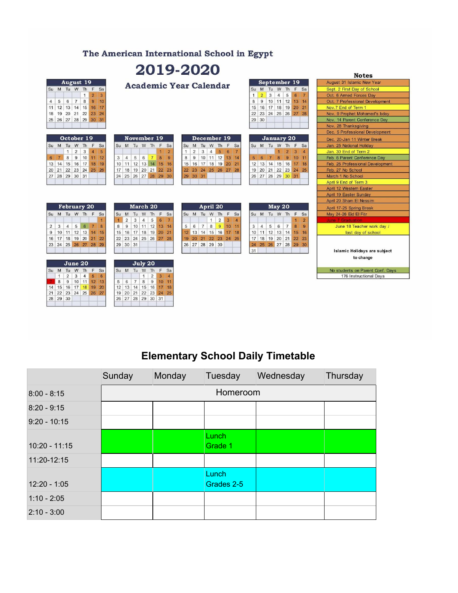#### The American International School in Egypt

# 2019-2020

|                                                                                                | <b>Notes</b>                                                                                                                                                                           |                                                                                                |                                  |
|------------------------------------------------------------------------------------------------|----------------------------------------------------------------------------------------------------------------------------------------------------------------------------------------|------------------------------------------------------------------------------------------------|----------------------------------|
| <b>August 19</b>                                                                               |                                                                                                                                                                                        | September 19                                                                                   | August 31 Islamic New Year       |
| Su M Tu W Th F Sa                                                                              | <b>Academic Year Calendar</b>                                                                                                                                                          | Su M Tu W Th F Sa                                                                              | Sept. 2 First Day of School      |
| $\overline{2}$<br>$\mathbf{1}$<br>3                                                            |                                                                                                                                                                                        | 3<br>$6\phantom{1}$<br>$\overline{7}$<br>$\overline{4}$<br>5<br>$\mathbf{1}$<br>$\overline{2}$ | Oct. 6 Armed Forces Day          |
| 6<br>$\left( 7\right)$<br>$\boldsymbol{8}$<br>9<br>10<br>5<br>$\overline{4}$                   |                                                                                                                                                                                        | 8<br>9<br>10 11 12 13 14                                                                       | Oct. 7 Professional Development  |
| 11 12 13 14 15<br>16<br>17                                                                     |                                                                                                                                                                                        | 16 17 18 19 20 21<br>15                                                                        | Nov.7 End of Term 1              |
| 18  19  20  21  22<br>23<br>24                                                                 |                                                                                                                                                                                        | 23 24 25 26 27 28<br>22                                                                        | Nov. 9 Prophet Mohamed's bday    |
| 25 26 27 28 29 30 31                                                                           |                                                                                                                                                                                        | 30<br>29                                                                                       | Nov. 14 Parent Conference Day    |
|                                                                                                |                                                                                                                                                                                        |                                                                                                | Nov. 28 Thanksgiving             |
|                                                                                                |                                                                                                                                                                                        |                                                                                                | Dec. 5 Professional Development  |
| October 19                                                                                     | November 19<br>December 19                                                                                                                                                             | <b>January 20</b>                                                                              | Dec. 20-Jan 11 Winter Break      |
| Su M Tu W Th F<br>Sa                                                                           | Su M Tu W Th F<br>Tu W Th<br>Sa<br>Su M<br>F<br>Sa                                                                                                                                     | Su M Tu W Th F Sa                                                                              | Jan. 25 National Holiday         |
| $\overline{2}$<br>3<br>$\overline{5}$<br>$\overline{4}$<br>$\mathbf{1}$                        | 5 <sup>5</sup><br>$\overline{2}$<br>3<br>$\overline{4}$<br>$6\phantom{1}$<br>$\overline{7}$<br>$\overline{2}$<br>1                                                                     | $\overline{2}$<br>$\mathbf{3}$<br>$\overline{4}$                                               | Jan. 30 End of Term 2            |
| 8<br>9<br>10<br>11<br>12<br>6<br>$\overline{7}$                                                | 8<br>$10$ 11 12<br>$\overline{4}$<br>5<br>6<br>$\overline{7}$<br>9<br>9<br>13<br>8<br>14<br>3                                                                                          | $\overline{7}$<br>8<br>9<br>$10$ 11<br>5<br>6                                                  | Feb. 6 Parent Conference Day     |
| 15 16 17<br>18<br>14<br>19<br>13                                                               | 12 13 14 15<br>17 18 19<br>11<br>16<br>20<br>10<br>16<br>15<br>21                                                                                                                      | 13 14 15 16<br>17 18<br>12                                                                     | Feb. 26 Professional Development |
| 22 23 24 25 26<br>21<br>20                                                                     | 19 20 21 22<br>18<br>23<br>23 24 25 26 27 28<br>17<br>22                                                                                                                               | 20 21 22 23 24 25<br>19                                                                        | Feb. 27 No School                |
| 27 28 29 30 31                                                                                 | 26 27 28 29 30<br>29 30 31<br>24<br>25                                                                                                                                                 | 27 28 29 30 31<br>26                                                                           | March 1 No School                |
|                                                                                                |                                                                                                                                                                                        |                                                                                                | April 9 End of Term 3            |
|                                                                                                |                                                                                                                                                                                        |                                                                                                | April 12 Western Easter          |
|                                                                                                |                                                                                                                                                                                        |                                                                                                | April 19 Easter Sunday           |
|                                                                                                |                                                                                                                                                                                        |                                                                                                | April 20 Sham El Nessim          |
| <b>February 20</b>                                                                             | March 20<br>April 20                                                                                                                                                                   | May 20                                                                                         | April 17-25 Spring Break         |
| Su M Tu W Th F Sa                                                                              | Tu W Th F Sa<br>Su M Tu W Th F<br>Sa<br>Su M                                                                                                                                           | Su M Tu W Th F Sa                                                                              | May 24-26 Eid El Fitr            |
|                                                                                                | $6\phantom{a}$<br>$\overline{2}$<br>$\overline{7}$<br>$\overline{\mathbf{3}}$<br>3<br>5<br>$\mathbf{1}$<br>$\overline{2}$<br>$\mathbf{1}$<br>$\overline{4}$<br>$\overline{\mathbf{4}}$ | $\overline{2}$                                                                                 | June 7 Graduation                |
| 5 <sup>1</sup><br>3<br>$\overline{4}$<br>6<br>$\overline{7}$<br>$\overline{2}$<br>$\mathbf{R}$ | 9<br>8<br>9<br>$10$ 11 12<br>$\overline{7}$<br>13<br>6<br>10<br>8<br>5<br>11<br>14                                                                                                     | 5<br>8<br>3<br>$\overline{4}$<br>6<br>$\overline{7}$<br>9                                      | June 18 Teacher work day /       |
| $11$ 12 13<br>10<br>14<br>9<br>15                                                              | 16<br>17 18 19 20<br>12 13 14 15 16 17<br>21<br>18<br>15                                                                                                                               | 11 12 13 14<br>15<br>16<br>10                                                                  | last day of school               |
| 18 19 20 21<br>$16$ 17<br>22                                                                   | 23<br>24 25 26 27 28<br>20 21 22 23 24 25<br>22                                                                                                                                        | 18 19 20 21 22 23<br>17                                                                        |                                  |
| 23 24 25 26 27 28 29                                                                           | 26 27 28 29 30<br>30 31<br>29                                                                                                                                                          | 25 26 27 28 29 30<br>24                                                                        |                                  |
|                                                                                                |                                                                                                                                                                                        | 31                                                                                             | Islamic Holidays are subject     |
|                                                                                                |                                                                                                                                                                                        |                                                                                                | to change                        |
| June 20                                                                                        | July 20                                                                                                                                                                                |                                                                                                |                                  |
| Su M Tu W Th F Sa                                                                              | Su M Tu W Th F<br>Sa                                                                                                                                                                   |                                                                                                | No students on Parent Conf. Days |
| $\overline{2}$<br>3<br>$\overline{4}$<br>$5\phantom{.0}$<br>$6\phantom{1}$<br>$\mathbf{1}$     | $\overline{2}$<br>$\overline{3}$<br>$\mathbf{1}$<br>$\boldsymbol{A}$                                                                                                                   |                                                                                                | 176 Instructional Days           |
| $\overline{9}$<br>10 11<br>12<br>8<br>13                                                       | $\,$ 8<br>$\overline{9}$<br>10<br>6<br>$7\overline{ }$<br>11<br>5                                                                                                                      |                                                                                                |                                  |
| 17 18<br>19<br>20<br>14 15<br>16                                                               | 13 14 15 16<br>17<br>12<br>18                                                                                                                                                          |                                                                                                |                                  |
| 23 24 25 26 27<br>22<br>21                                                                     | 21<br>22 23 24<br>19<br>20<br>25                                                                                                                                                       |                                                                                                |                                  |
| 28 29 30                                                                                       | 27 28 29 30 31<br>26                                                                                                                                                                   |                                                                                                |                                  |

# **Elementary School Daily Timetable**

|                 | Sunday   | Monday | Tuesday             | Wednesday | Thursday |
|-----------------|----------|--------|---------------------|-----------|----------|
| $8:00 - 8:15$   | Homeroom |        |                     |           |          |
| $8:20 - 9:15$   |          |        |                     |           |          |
| $9:20 - 10:15$  |          |        |                     |           |          |
| $10:20 - 11:15$ |          |        | Lunch<br>Grade 1    |           |          |
| 11:20-12:15     |          |        |                     |           |          |
| $12:20 - 1:05$  |          |        | Lunch<br>Grades 2-5 |           |          |
| $1:10 - 2:05$   |          |        |                     |           |          |
| $2:10 - 3:00$   |          |        |                     |           |          |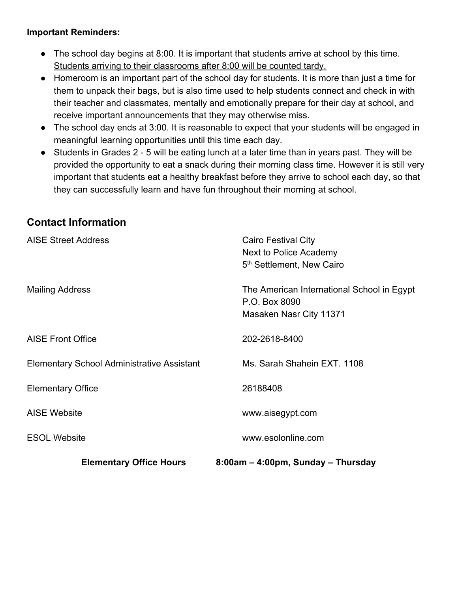#### **Important Reminders:**

- The school day begins at 8:00. It is important that students arrive at school by this time. Students arriving to their classrooms after 8:00 will be counted tardy.
- Homeroom is an important part of the school day for students. It is more than just a time for them to unpack their bags, but is also time used to help students connect and check in with their teacher and classmates, mentally and emotionally prepare for their day at school, and receive important announcements that they may otherwise miss.
- The school day ends at 3:00. It is reasonable to expect that your students will be engaged in meaningful learning opportunities until this time each day.
- Students in Grades 2 5 will be eating lunch at a later time than in years past. They will be provided the opportunity to eat a snack during their morning class time. However it is still very important that students eat a healthy breakfast before they arrive to school each day, so that they can successfully learn and have fun throughout their morning at school.

# **Contact Information**

| <b>Elementary Office Hours</b>                    | 8:00am – 4:00pm, Sunday – Thursday                                                     |
|---------------------------------------------------|----------------------------------------------------------------------------------------|
| <b>ESOL Website</b>                               | www.esolonline.com                                                                     |
| <b>AISE Website</b>                               | www.aisegypt.com                                                                       |
| <b>Elementary Office</b>                          | 26188408                                                                               |
| <b>Elementary School Administrative Assistant</b> | Ms. Sarah Shahein EXT. 1108                                                            |
| <b>AISE Front Office</b>                          | 202-2618-8400                                                                          |
| <b>Mailing Address</b>                            | The American International School in Egypt<br>P.O. Box 8090<br>Masaken Nasr City 11371 |
| <b>AISE Street Address</b>                        | Cairo Festival City<br>Next to Police Academy<br>5 <sup>th</sup> Settlement, New Cairo |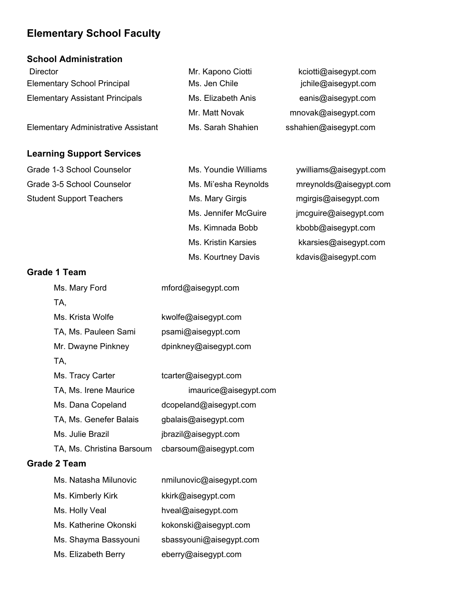### **Elementary School Faculty**

#### **School Administration**

| <b>Director</b>                            | Mr. Kapono Ciotti  | kciotti@aisegypt.com  |
|--------------------------------------------|--------------------|-----------------------|
| <b>Elementary School Principal</b>         | Ms. Jen Chile      | jchile@aisegypt.com   |
| <b>Elementary Assistant Principals</b>     | Ms. Elizabeth Anis | eanis@aisegypt.com    |
|                                            | Mr. Matt Novak     | mnovak@aisegypt.com   |
| <b>Elementary Administrative Assistant</b> | Ms. Sarah Shahien  | sshahien@aisegypt.com |

#### **Learning Support Services**

| Grade 1-3 School Counselor      |
|---------------------------------|
| Grade 3-5 School Counselor      |
| <b>Student Support Teachers</b> |

Ms. Youndie Williams williams@aisegypt.com Ms. Mi'esha Reynolds mreynolds@aisegypt.com pport Teachers **Ms. Mary Girgis mgirgis@aisegypt.com** Ms. Jennifer McGuire jmcguire@aisegypt.com Ms. Kimnada Bobb kbobb@aisegypt.com

> Ms. Kristin Karsies kkarsies@aisegypt.com Ms. Kourtney Davis **Kolavis@aisegypt.com**

#### **Grade 1 Team**

| Ms. Mary Ford             | mford@aisegypt.com     |
|---------------------------|------------------------|
| TA,                       |                        |
| Ms. Krista Wolfe          | kwolfe@aisegypt.com    |
| TA, Ms. Pauleen Sami      | psami@aisegypt.com     |
| Mr. Dwayne Pinkney        | dpinkney@aisegypt.com  |
| TA.                       |                        |
| Ms. Tracy Carter          | tcarter@aisegypt.com   |
| TA, Ms. Irene Maurice     | imaurice@aisegypt.com  |
| Ms. Dana Copeland         | dcopeland@aisegypt.com |
| TA, Ms. Genefer Balais    | gbalais@aisegypt.com   |
| Ms. Julie Brazil          | jbrazil@aisegypt.com   |
| TA, Ms. Christina Barsoum | cbarsoum@aisegypt.com  |
|                           |                        |

#### **Grade 2 Team**

| Ms. Natasha Milunovic | nmilunovic@aisegypt.com |
|-----------------------|-------------------------|
| Ms. Kimberly Kirk     | kkirk@aisegypt.com      |
| Ms. Holly Veal        | hveal@aisegypt.com      |
| Ms. Katherine Okonski | kokonski@aisegypt.com   |
| Ms. Shayma Bassyouni  | sbassyouni@aisegypt.com |
| Ms. Elizabeth Berry   | eberry@aisegypt.com     |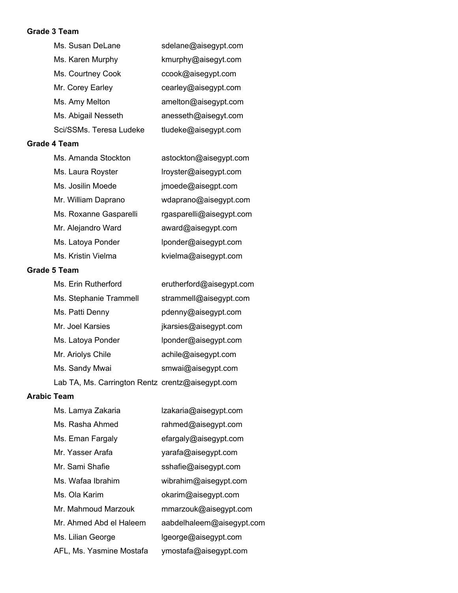#### **Grade 3 Team**

| Ms. Susan DeLane        | sdelane@aisegypt.com |
|-------------------------|----------------------|
| Ms. Karen Murphy        | kmurphy@aisegyt.com  |
| Ms. Courtney Cook       | ccook@aisegypt.com   |
| Mr. Corey Earley        | cearley@aisegypt.com |
| Ms. Amy Melton          | amelton@aisegypt.com |
| Ms. Abigail Nesseth     | anesseth@aisegyt.com |
| Sci/SSMs. Teresa Ludeke | tludeke@aisegypt.com |
|                         |                      |

#### **Grade 4 Team**

| Ms. Amanda Stockton    | astockton@aisegypt.com   |
|------------------------|--------------------------|
| Ms. Laura Royster      | lroyster@aisegypt.com    |
| Ms. Josilin Moede      | jmoede@aisegpt.com       |
| Mr. William Daprano    | wdaprano@aisegypt.com    |
| Ms. Roxanne Gasparelli | rgasparelli@aisegypt.com |
| Mr. Alejandro Ward     | award@aisegypt.com       |
| Ms. Latoya Ponder      | lponder@aisegypt.com     |
| Ms. Kristin Vielma     | kvielma@aisegypt.com     |

#### **Grade 5 Team**

| Ms. Erin Rutherford                              | erutherford@aisegypt.com |
|--------------------------------------------------|--------------------------|
| Ms. Stephanie Trammell                           | strammell@aisegypt.com   |
| Ms. Patti Denny                                  | pdenny@aisegypt.com      |
| Mr. Joel Karsies                                 | jkarsies@aisegypt.com    |
| Ms. Latoya Ponder                                | lponder@aisegypt.com     |
| Mr. Ariolys Chile                                | achile@aisegypt.com      |
| Ms. Sandy Mwai                                   | smwai@aisegypt.com       |
| Lab TA, Ms. Carrington Rentz crentz@aisegypt.com |                          |

#### **Arabic Team**

| Ms. Lamya Zakaria        | Izakaria@aisegypt.com     |
|--------------------------|---------------------------|
| Ms. Rasha Ahmed          | rahmed@aisegypt.com       |
| Ms. Eman Fargaly         | efargaly@aisegypt.com     |
| Mr. Yasser Arafa         | yarafa@aisegypt.com       |
| Mr. Sami Shafie          | sshafie@aisegypt.com      |
| Ms. Wafaa Ibrahim        | wibrahim@aisegypt.com     |
| Ms. Ola Karim            | okarim@aisegypt.com       |
| Mr. Mahmoud Marzouk      | mmarzouk@aisegypt.com     |
| Mr. Ahmed Abd el Haleem  | aabdelhaleem@aisegypt.com |
| Ms. Lilian George        | lgeorge@aisegypt.com      |
| AFL, Ms. Yasmine Mostafa | ymostafa@aisegypt.com     |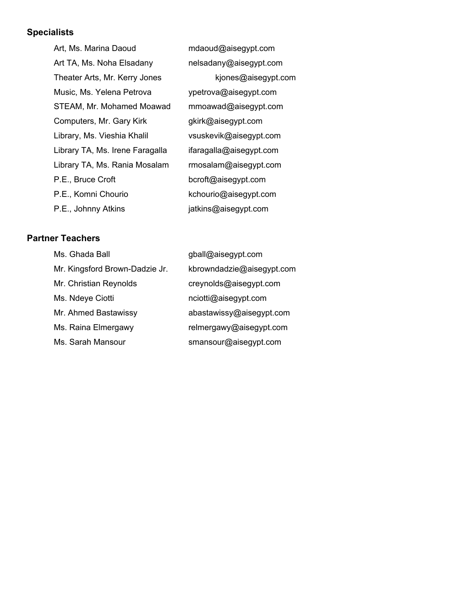# **Specialists**

| Art, Ms. Marina Daoud           | mdaoud@aisegypt.com     |
|---------------------------------|-------------------------|
| Art TA, Ms. Noha Elsadany       | nelsadany@aisegypt.com  |
| Theater Arts, Mr. Kerry Jones   | kjones@aisegypt.com     |
| Music, Ms. Yelena Petrova       | ypetrova@aisegypt.com   |
| STEAM, Mr. Mohamed Moawad       | mmoawad@aisegypt.com    |
| Computers, Mr. Gary Kirk        | gkirk@aisegypt.com      |
| Library, Ms. Vieshia Khalil     | vsuskevik@aisegypt.com  |
| Library TA, Ms. Irene Faragalla | ifaragalla@aisegypt.com |
| Library TA, Ms. Rania Mosalam   | rmosalam@aisegypt.com   |
| P.E., Bruce Croft               | bcroft@aisegypt.com     |
| P.E., Komni Chourio             | kchourio@aisegypt.com   |
| P.E., Johnny Atkins             | jatkins@aisegypt.com    |

#### **Partner Teachers**

| Ms. Ghada Ball                 | gball@aisegypt.com        |
|--------------------------------|---------------------------|
| Mr. Kingsford Brown-Dadzie Jr. | kbrowndadzie@aisegypt.com |
| Mr. Christian Reynolds         | creynolds@aisegypt.com    |
| Ms. Ndeye Ciotti               | nciotti@aisegypt.com      |
| Mr. Ahmed Bastawissy           | abastawissy@aisegypt.com  |
| Ms. Raina Elmergawy            | relmergawy@aisegypt.com   |
| Ms. Sarah Mansour              | smansour@aisegypt.com     |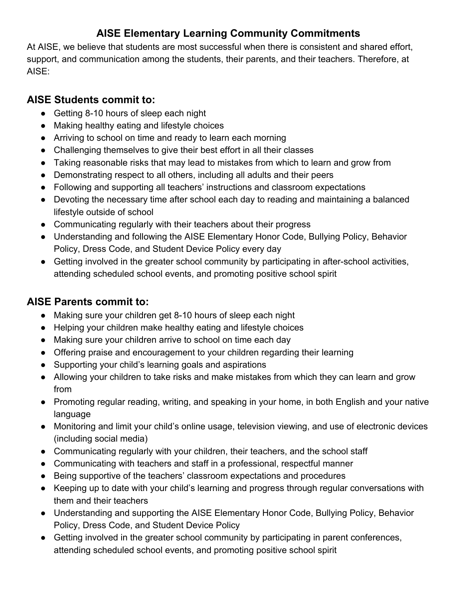# **AISE Elementary Learning Community Commitments**

At AISE, we believe that students are most successful when there is consistent and shared effort, support, and communication among the students, their parents, and their teachers. Therefore, at AISE:

# **AISE Students commit to:**

- Getting 8-10 hours of sleep each night
- Making healthy eating and lifestyle choices
- Arriving to school on time and ready to learn each morning
- Challenging themselves to give their best effort in all their classes
- Taking reasonable risks that may lead to mistakes from which to learn and grow from
- Demonstrating respect to all others, including all adults and their peers
- Following and supporting all teachers' instructions and classroom expectations
- Devoting the necessary time after school each day to reading and maintaining a balanced lifestyle outside of school
- Communicating regularly with their teachers about their progress
- Understanding and following the AISE Elementary Honor Code, Bullying Policy, Behavior Policy, Dress Code, and Student Device Policy every day
- Getting involved in the greater school community by participating in after-school activities, attending scheduled school events, and promoting positive school spirit

# **AISE Parents commit to:**

- Making sure your children get 8-10 hours of sleep each night
- Helping your children make healthy eating and lifestyle choices
- Making sure your children arrive to school on time each day
- Offering praise and encouragement to your children regarding their learning
- Supporting your child's learning goals and aspirations
- Allowing your children to take risks and make mistakes from which they can learn and grow from
- Promoting regular reading, writing, and speaking in your home, in both English and your native language
- Monitoring and limit your child's online usage, television viewing, and use of electronic devices (including social media)
- Communicating regularly with your children, their teachers, and the school staff
- Communicating with teachers and staff in a professional, respectful manner
- Being supportive of the teachers' classroom expectations and procedures
- Keeping up to date with your child's learning and progress through regular conversations with them and their teachers
- Understanding and supporting the AISE Elementary Honor Code, Bullying Policy, Behavior Policy, Dress Code, and Student Device Policy
- Getting involved in the greater school community by participating in parent conferences, attending scheduled school events, and promoting positive school spirit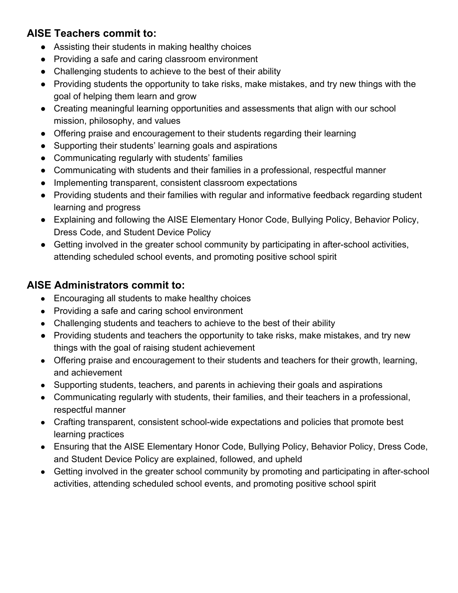# **AISE Teachers commit to:**

- Assisting their students in making healthy choices
- Providing a safe and caring classroom environment
- Challenging students to achieve to the best of their ability
- Providing students the opportunity to take risks, make mistakes, and try new things with the goal of helping them learn and grow
- Creating meaningful learning opportunities and assessments that align with our school mission, philosophy, and values
- Offering praise and encouragement to their students regarding their learning
- Supporting their students' learning goals and aspirations
- Communicating regularly with students' families
- Communicating with students and their families in a professional, respectful manner
- Implementing transparent, consistent classroom expectations
- Providing students and their families with regular and informative feedback regarding student learning and progress
- Explaining and following the AISE Elementary Honor Code, Bullying Policy, Behavior Policy, Dress Code, and Student Device Policy
- Getting involved in the greater school community by participating in after-school activities, attending scheduled school events, and promoting positive school spirit

# **AISE Administrators commit to:**

- Encouraging all students to make healthy choices
- Providing a safe and caring school environment
- Challenging students and teachers to achieve to the best of their ability
- Providing students and teachers the opportunity to take risks, make mistakes, and try new things with the goal of raising student achievement
- Offering praise and encouragement to their students and teachers for their growth, learning, and achievement
- Supporting students, teachers, and parents in achieving their goals and aspirations
- Communicating regularly with students, their families, and their teachers in a professional, respectful manner
- Crafting transparent, consistent school-wide expectations and policies that promote best learning practices
- Ensuring that the AISE Elementary Honor Code, Bullying Policy, Behavior Policy, Dress Code, and Student Device Policy are explained, followed, and upheld
- Getting involved in the greater school community by promoting and participating in after-school activities, attending scheduled school events, and promoting positive school spirit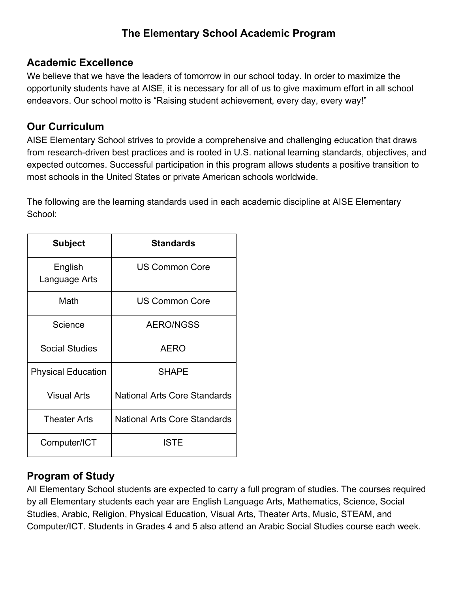# **The Elementary School Academic Program**

### **Academic Excellence**

We believe that we have the leaders of tomorrow in our school today. In order to maximize the opportunity students have at AISE, it is necessary for all of us to give maximum effort in all school endeavors. Our school motto is "Raising student achievement, every day, every way!"

### **Our Curriculum**

AISE Elementary School strives to provide a comprehensive and challenging education that draws from research-driven best practices and is rooted in U.S. national learning standards, objectives, and expected outcomes. Successful participation in this program allows students a positive transition to most schools in the United States or private American schools worldwide.

The following are the learning standards used in each academic discipline at AISE Elementary School:

| <b>Subject</b>            | <b>Standards</b>                    |
|---------------------------|-------------------------------------|
| English<br>Language Arts  | <b>US Common Core</b>               |
| Math                      | <b>US Common Core</b>               |
| Science                   | <b>AERO/NGSS</b>                    |
| <b>Social Studies</b>     | <b>AERO</b>                         |
| <b>Physical Education</b> | <b>SHAPE</b>                        |
| <b>Visual Arts</b>        | <b>National Arts Core Standards</b> |
| <b>Theater Arts</b>       | <b>National Arts Core Standards</b> |
| Computer/ICT              | <b>ISTE</b>                         |

### **Program of Study**

All Elementary School students are expected to carry a full program of studies. The courses required by all Elementary students each year are English Language Arts, Mathematics, Science, Social Studies, Arabic, Religion, Physical Education, Visual Arts, Theater Arts, Music, STEAM, and Computer/ICT. Students in Grades 4 and 5 also attend an Arabic Social Studies course each week.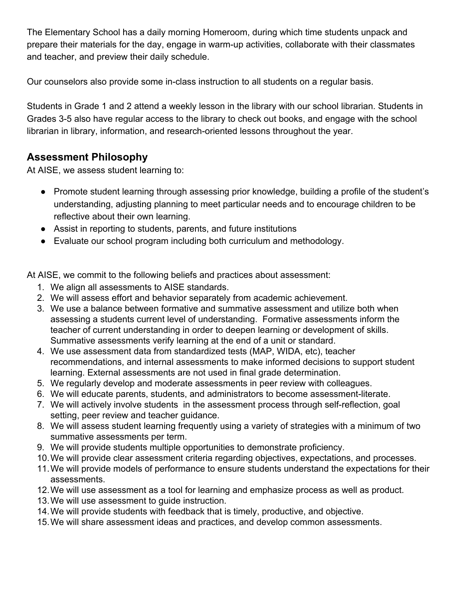The Elementary School has a daily morning Homeroom, during which time students unpack and prepare their materials for the day, engage in warm-up activities, collaborate with their classmates and teacher, and preview their daily schedule.

Our counselors also provide some in-class instruction to all students on a regular basis.

Students in Grade 1 and 2 attend a weekly lesson in the library with our school librarian. Students in Grades 3-5 also have regular access to the library to check out books, and engage with the school librarian in library, information, and research-oriented lessons throughout the year.

# **Assessment Philosophy**

At AISE, we assess student learning to:

- Promote student learning through assessing prior knowledge, building a profile of the student's understanding, adjusting planning to meet particular needs and to encourage children to be reflective about their own learning.
- Assist in reporting to students, parents, and future institutions
- Evaluate our school program including both curriculum and methodology.

At AISE, we commit to the following beliefs and practices about assessment:

- 1. We align all assessments to AISE standards.
- 2. We will assess effort and behavior separately from academic achievement.
- 3. We use a balance between formative and summative assessment and utilize both when assessing a students current level of understanding. Formative assessments inform the teacher of current understanding in order to deepen learning or development of skills. Summative assessments verify learning at the end of a unit or standard.
- 4. We use assessment data from standardized tests (MAP, WIDA, etc), teacher recommendations, and internal assessments to make informed decisions to support student learning. External assessments are not used in final grade determination.
- 5. We regularly develop and moderate assessments in peer review with colleagues.
- 6. We will educate parents, students, and administrators to become assessment-literate.
- 7. We will actively involve students in the assessment process through self-reflection, goal setting, peer review and teacher guidance.
- 8. We will assess student learning frequently using a variety of strategies with a minimum of two summative assessments per term.
- 9. We will provide students multiple opportunities to demonstrate proficiency.
- 10.We will provide clear assessment criteria regarding objectives, expectations, and processes.
- 11.We will provide models of performance to ensure students understand the expectations for their assessments.
- 12.We will use assessment as a tool for learning and emphasize process as well as product.
- 13.We will use assessment to guide instruction.
- 14.We will provide students with feedback that is timely, productive, and objective.
- 15.We will share assessment ideas and practices, and develop common assessments.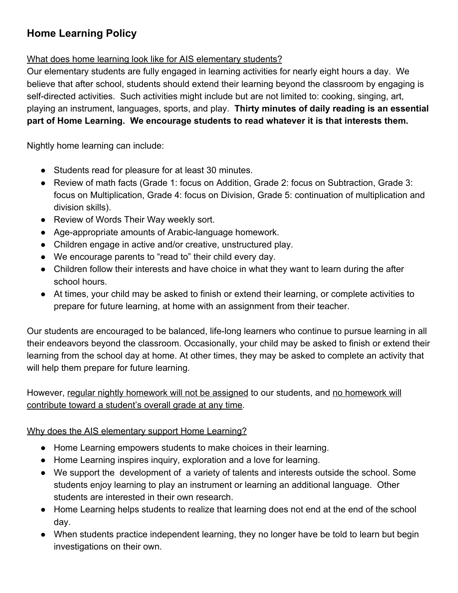# **Home Learning Policy**

#### What does home learning look like for AIS elementary students?

Our elementary students are fully engaged in learning activities for nearly eight hours a day. We believe that after school, students should extend their learning beyond the classroom by engaging is self-directed activities. Such activities might include but are not limited to: cooking, singing, art, playing an instrument, languages, sports, and play. **Thirty minutes of daily reading is an essential part of Home Learning. We encourage students to read whatever it is that interests them.**

Nightly home learning can include:

- Students read for pleasure for at least 30 minutes.
- Review of math facts (Grade 1: focus on Addition, Grade 2: focus on Subtraction, Grade 3: focus on Multiplication, Grade 4: focus on Division, Grade 5: continuation of multiplication and division skills).
- Review of Words Their Way weekly sort.
- Age-appropriate amounts of Arabic-language homework.
- Children engage in active and/or creative, unstructured play.
- We encourage parents to "read to" their child every day.
- Children follow their interests and have choice in what they want to learn during the after school hours.
- At times, your child may be asked to finish or extend their learning, or complete activities to prepare for future learning, at home with an assignment from their teacher.

Our students are encouraged to be balanced, life-long learners who continue to pursue learning in all their endeavors beyond the classroom. Occasionally, your child may be asked to finish or extend their learning from the school day at home. At other times, they may be asked to complete an activity that will help them prepare for future learning.

However, regular nightly homework will not be assigned to our students, and no homework will contribute toward a student's overall grade at any time.

Why does the AIS elementary support Home Learning?

- Home Learning empowers students to make choices in their learning.
- Home Learning inspires inquiry, exploration and a love for learning.
- We support the development of a variety of talents and interests outside the school. Some students enjoy learning to play an instrument or learning an additional language. Other students are interested in their own research.
- Home Learning helps students to realize that learning does not end at the end of the school day.
- When students practice independent learning, they no longer have be told to learn but begin investigations on their own.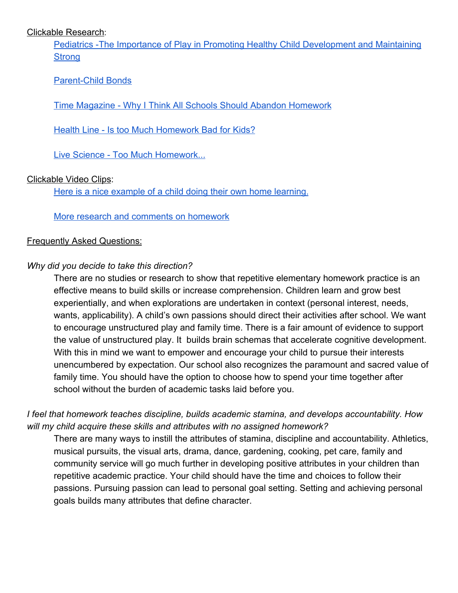#### Clickable Research:

[Pediatrics -The Importance of Play in Promoting Healthy Child Development and Maintaining](http://pediatrics.aappublications.org/content/119/1/182) **[Strong](http://pediatrics.aappublications.org/content/119/1/182)** 

#### [Parent-Child Bonds](http://pediatrics.aappublications.org/content/119/1/182)

[Time Magazine - Why I Think All Schools Should Abandon Homework](http://time.com/4740297/homework-should-be-banned-from-schools/)

[Health Line - Is too Much Homework Bad for Kids?](https://www.healthline.com/health-news/children-more-homework-means-more-stress-031114#1)

[Live Science - Too Much Homework...](https://www.livescience.com/19379-homework-bad-kids.html)

#### Clickable Video Clips:

[Here is a nice example of a child doing their own home learning.](https://www.youtube.com/watch?v=0I5aXGtMBRM)

[More research and comments on homework](https://www.youtube.com/watch?v=7h1olTR3KIo)

#### Frequently Asked Questions:

#### *Why did you decide to take this direction?*

There are no studies or research to show that repetitive elementary homework practice is an effective means to build skills or increase comprehension. Children learn and grow best experientially, and when explorations are undertaken in context (personal interest, needs, wants, applicability). A child's own passions should direct their activities after school. We want to encourage unstructured play and family time. There is a fair amount of evidence to support the value of unstructured play. It builds brain schemas that accelerate cognitive development. With this in mind we want to empower and encourage your child to pursue their interests unencumbered by expectation. Our school also recognizes the paramount and sacred value of family time. You should have the option to choose how to spend your time together after school without the burden of academic tasks laid before you.

#### *I feel that homework teaches discipline, builds academic stamina, and develops accountability. How will my child acquire these skills and attributes with no assigned homework?*

There are many ways to instill the attributes of stamina, discipline and accountability. Athletics, musical pursuits, the visual arts, drama, dance, gardening, cooking, pet care, family and community service will go much further in developing positive attributes in your children than repetitive academic practice. Your child should have the time and choices to follow their passions. Pursuing passion can lead to personal goal setting. Setting and achieving personal goals builds many attributes that define character.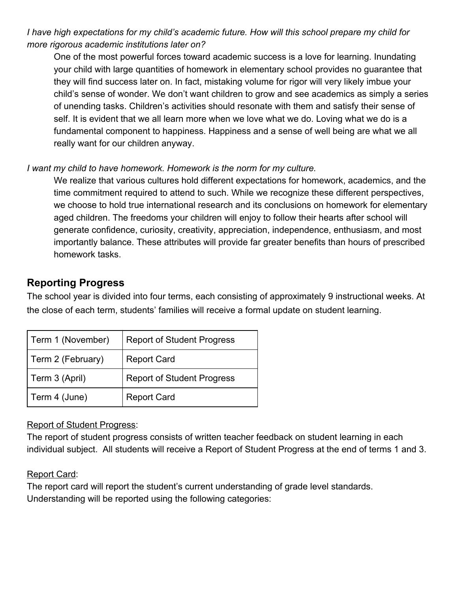*I have high expectations for my child's academic future. How will this school prepare my child for more rigorous academic institutions later on?*

One of the most powerful forces toward academic success is a love for learning. Inundating your child with large quantities of homework in elementary school provides no guarantee that they will find success later on. In fact, mistaking volume for rigor will very likely imbue your child's sense of wonder. We don't want children to grow and see academics as simply a series of unending tasks. Children's activities should resonate with them and satisfy their sense of self. It is evident that we all learn more when we love what we do. Loving what we do is a fundamental component to happiness. Happiness and a sense of well being are what we all really want for our children anyway.

#### *I want my child to have homework. Homework is the norm for my culture.*

We realize that various cultures hold different expectations for homework, academics, and the time commitment required to attend to such. While we recognize these different perspectives, we choose to hold true international research and its conclusions on homework for elementary aged children. The freedoms your children will enjoy to follow their hearts after school will generate confidence, curiosity, creativity, appreciation, independence, enthusiasm, and most importantly balance. These attributes will provide far greater benefits than hours of prescribed homework tasks.

#### **Reporting Progress**

The school year is divided into four terms, each consisting of approximately 9 instructional weeks. At the close of each term, students' families will receive a formal update on student learning.

| Term 1 (November) | <b>Report of Student Progress</b> |
|-------------------|-----------------------------------|
| Term 2 (February) | <b>Report Card</b>                |
| Term 3 (April)    | <b>Report of Student Progress</b> |
| Term 4 (June)     | <b>Report Card</b>                |

#### Report of Student Progress:

The report of student progress consists of written teacher feedback on student learning in each individual subject. All students will receive a Report of Student Progress at the end of terms 1 and 3.

#### Report Card:

The report card will report the student's current understanding of grade level standards. Understanding will be reported using the following categories: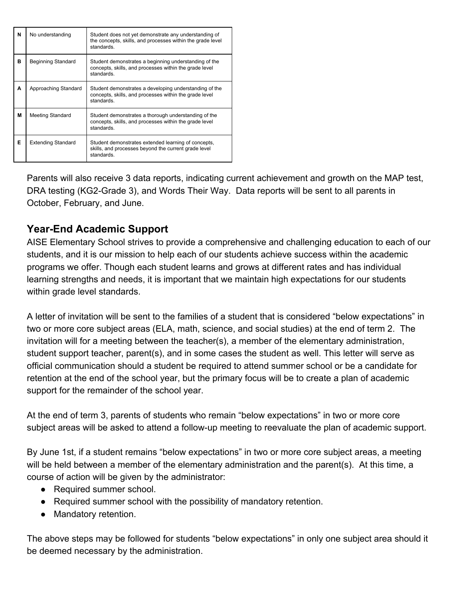| N | No understanding          | Student does not yet demonstrate any understanding of<br>the concepts, skills, and processes within the grade level<br>standards. |
|---|---------------------------|-----------------------------------------------------------------------------------------------------------------------------------|
| в | Beginning Standard        | Student demonstrates a beginning understanding of the<br>concepts, skills, and processes within the grade level<br>standards.     |
| A | Approaching Standard      | Student demonstrates a developing understanding of the<br>concepts, skills, and processes within the grade level<br>standards.    |
| М | Meeting Standard          | Student demonstrates a thorough understanding of the<br>concepts, skills, and processes within the grade level<br>standards.      |
| Е | <b>Extending Standard</b> | Student demonstrates extended learning of concepts,<br>skills, and processes beyond the current grade level<br>standards.         |

Parents will also receive 3 data reports, indicating current achievement and growth on the MAP test, DRA testing (KG2-Grade 3), and Words Their Way. Data reports will be sent to all parents in October, February, and June.

# **Year-End Academic Support**

AISE Elementary School strives to provide a comprehensive and challenging education to each of our students, and it is our mission to help each of our students achieve success within the academic programs we offer. Though each student learns and grows at different rates and has individual learning strengths and needs, it is important that we maintain high expectations for our students within grade level standards.

A letter of invitation will be sent to the families of a student that is considered "below expectations" in two or more core subject areas (ELA, math, science, and social studies) at the end of term 2. The invitation will for a meeting between the teacher(s), a member of the elementary administration, student support teacher, parent(s), and in some cases the student as well. This letter will serve as official communication should a student be required to attend summer school or be a candidate for retention at the end of the school year, but the primary focus will be to create a plan of academic support for the remainder of the school year.

At the end of term 3, parents of students who remain "below expectations" in two or more core subject areas will be asked to attend a follow-up meeting to reevaluate the plan of academic support.

By June 1st, if a student remains "below expectations" in two or more core subject areas, a meeting will be held between a member of the elementary administration and the parent(s). At this time, a course of action will be given by the administrator:

- Required summer school.
- Required summer school with the possibility of mandatory retention.
- Mandatory retention.

The above steps may be followed for students "below expectations" in only one subject area should it be deemed necessary by the administration.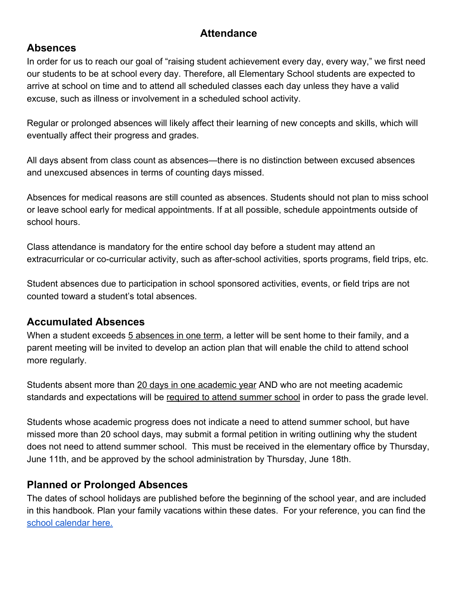### **Attendance**

#### **Absences**

In order for us to reach our goal of "raising student achievement every day, every way," we first need our students to be at school every day. Therefore, all Elementary School students are expected to arrive at school on time and to attend all scheduled classes each day unless they have a valid excuse, such as illness or involvement in a scheduled school activity.

Regular or prolonged absences will likely affect their learning of new concepts and skills, which will eventually affect their progress and grades.

All days absent from class count as absences—there is no distinction between excused absences and unexcused absences in terms of counting days missed.

Absences for medical reasons are still counted as absences. Students should not plan to miss school or leave school early for medical appointments. If at all possible, schedule appointments outside of school hours.

Class attendance is mandatory for the entire school day before a student may attend an extracurricular or co-curricular activity, such as after-school activities, sports programs, field trips, etc.

Student absences due to participation in school sponsored activities, events, or field trips are not counted toward a student's total absences.

#### **Accumulated Absences**

When a student exceeds 5 absences in one term, a letter will be sent home to their family, and a parent meeting will be invited to develop an action plan that will enable the child to attend school more regularly.

Students absent more than 20 days in one academic year AND who are not meeting academic standards and expectations will be required to attend summer school in order to pass the grade level.

Students whose academic progress does not indicate a need to attend summer school, but have missed more than 20 school days, may submit a formal petition in writing outlining why the student does not need to attend summer school. This must be received in the elementary office by Thursday, June 11th, and be approved by the school administration by Thursday, June 18th.

#### **Planned or Prolonged Absences**

The dates of school holidays are published before the beginning of the school year, and are included in this handbook. Plan your family vacations within these dates. For your reference, you can find the [school calendar here.](https://www.aisegypt.com/page.cfm?p=3615)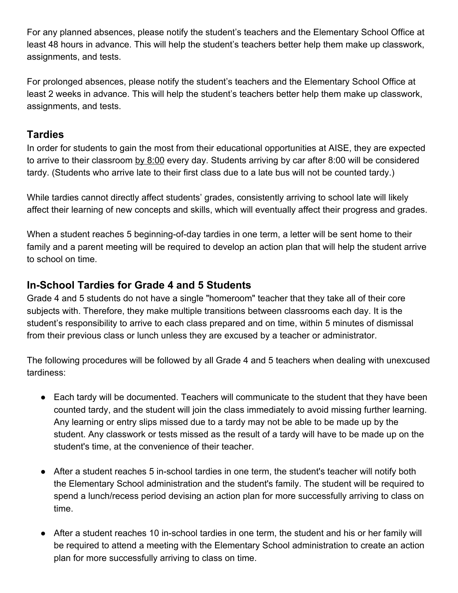For any planned absences, please notify the student's teachers and the Elementary School Office at least 48 hours in advance. This will help the student's teachers better help them make up classwork, assignments, and tests.

For prolonged absences, please notify the student's teachers and the Elementary School Office at least 2 weeks in advance. This will help the student's teachers better help them make up classwork, assignments, and tests.

### **Tardies**

In order for students to gain the most from their educational opportunities at AISE, they are expected to arrive to their classroom by 8:00 every day. Students arriving by car after 8:00 will be considered tardy. (Students who arrive late to their first class due to a late bus will not be counted tardy.)

While tardies cannot directly affect students' grades, consistently arriving to school late will likely affect their learning of new concepts and skills, which will eventually affect their progress and grades.

When a student reaches 5 beginning-of-day tardies in one term, a letter will be sent home to their family and a parent meeting will be required to develop an action plan that will help the student arrive to school on time.

### **In-School Tardies for Grade 4 and 5 Students**

Grade 4 and 5 students do not have a single "homeroom" teacher that they take all of their core subjects with. Therefore, they make multiple transitions between classrooms each day. It is the student's responsibility to arrive to each class prepared and on time, within 5 minutes of dismissal from their previous class or lunch unless they are excused by a teacher or administrator.

The following procedures will be followed by all Grade 4 and 5 teachers when dealing with unexcused tardiness:

- Each tardy will be documented. Teachers will communicate to the student that they have been counted tardy, and the student will join the class immediately to avoid missing further learning. Any learning or entry slips missed due to a tardy may not be able to be made up by the student. Any classwork or tests missed as the result of a tardy will have to be made up on the student's time, at the convenience of their teacher.
- After a student reaches 5 in-school tardies in one term, the student's teacher will notify both the Elementary School administration and the student's family. The student will be required to spend a lunch/recess period devising an action plan for more successfully arriving to class on time.
- After a student reaches 10 in-school tardies in one term, the student and his or her family will be required to attend a meeting with the Elementary School administration to create an action plan for more successfully arriving to class on time.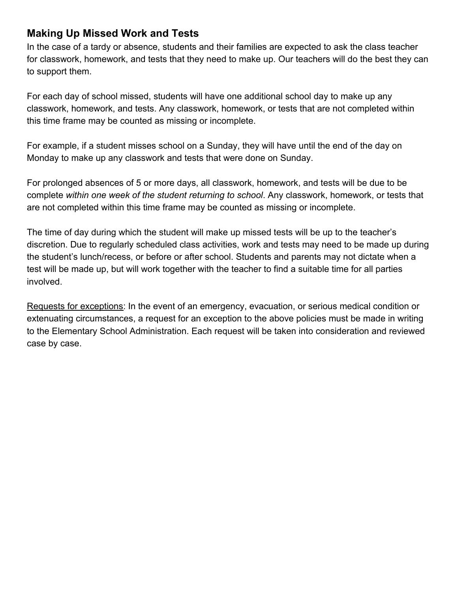### **Making Up Missed Work and Tests**

In the case of a tardy or absence, students and their families are expected to ask the class teacher for classwork, homework, and tests that they need to make up. Our teachers will do the best they can to support them.

For each day of school missed, students will have one additional school day to make up any classwork, homework, and tests. Any classwork, homework, or tests that are not completed within this time frame may be counted as missing or incomplete.

For example, if a student misses school on a Sunday, they will have until the end of the day on Monday to make up any classwork and tests that were done on Sunday.

For prolonged absences of 5 or more days, all classwork, homework, and tests will be due to be complete *within one week of the student returning to school*. Any classwork, homework, or tests that are not completed within this time frame may be counted as missing or incomplete.

The time of day during which the student will make up missed tests will be up to the teacher's discretion. Due to regularly scheduled class activities, work and tests may need to be made up during the student's lunch/recess, or before or after school. Students and parents may not dictate when a test will be made up, but will work together with the teacher to find a suitable time for all parties involved.

Requests for exceptions: In the event of an emergency, evacuation, or serious medical condition or extenuating circumstances, a request for an exception to the above policies must be made in writing to the Elementary School Administration. Each request will be taken into consideration and reviewed case by case.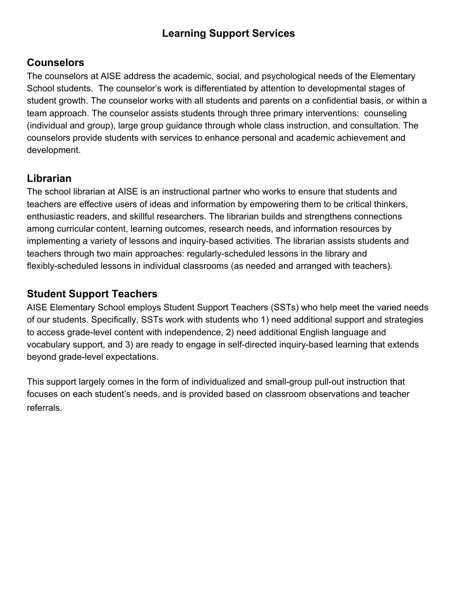# **Learning Support Services**

### **Counselors**

The counselors at AISE address the academic, social, and psychological needs of the Elementary School students. The counselor's work is differentiated by attention to developmental stages of student growth. The counselor works with all students and parents on a confidential basis, or within a team approach. The counselor assists students through three primary interventions: counseling (individual and group), large group guidance through whole class instruction, and consultation. The counselors provide students with services to enhance personal and academic achievement and development.

# **Librarian**

The school librarian at AISE is an instructional partner who works to ensure that students and teachers are effective users of ideas and information by empowering them to be critical thinkers, enthusiastic readers, and skillful researchers. The librarian builds and strengthens connections among curricular content, learning outcomes, research needs, and information resources by implementing a variety of lessons and inquiry-based activities. The librarian assists students and teachers through two main approaches: regularly-scheduled lessons in the library and flexibly-scheduled lessons in individual classrooms (as needed and arranged with teachers).

### **Student Support Teachers**

AISE Elementary School employs Student Support Teachers (SSTs) who help meet the varied needs of our students. Specifically, SSTs work with students who 1) need additional support and strategies to access grade-level content with independence, 2) need additional English language and vocabulary support, and 3) are ready to engage in self-directed inquiry-based learning that extends beyond grade-level expectations.

This support largely comes in the form of individualized and small-group pull-out instruction that focuses on each student's needs, and is provided based on classroom observations and teacher referrals.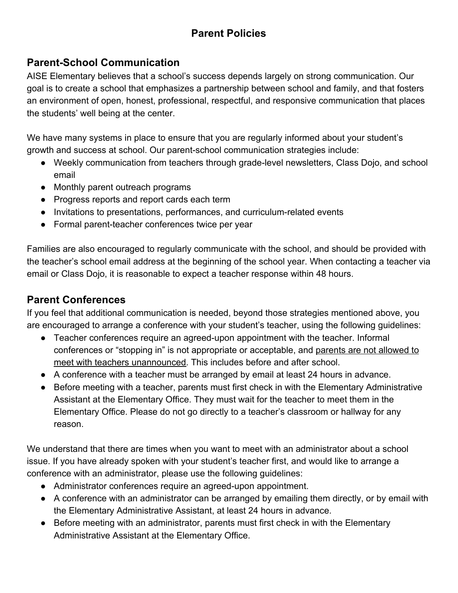# **Parent Policies**

### **Parent-School Communication**

AISE Elementary believes that a school's success depends largely on strong communication. Our goal is to create a school that emphasizes a partnership between school and family, and that fosters an environment of open, honest, professional, respectful, and responsive communication that places the students' well being at the center.

We have many systems in place to ensure that you are regularly informed about your student's growth and success at school. Our parent-school communication strategies include:

- Weekly communication from teachers through grade-level newsletters, Class Dojo, and school email
- Monthly parent outreach programs
- Progress reports and report cards each term
- Invitations to presentations, performances, and curriculum-related events
- Formal parent-teacher conferences twice per year

Families are also encouraged to regularly communicate with the school, and should be provided with the teacher's school email address at the beginning of the school year. When contacting a teacher via email or Class Dojo, it is reasonable to expect a teacher response within 48 hours.

### **Parent Conferences**

If you feel that additional communication is needed, beyond those strategies mentioned above, you are encouraged to arrange a conference with your student's teacher, using the following guidelines:

- Teacher conferences require an agreed-upon appointment with the teacher. Informal conferences or "stopping in" is not appropriate or acceptable, and parents are not allowed to meet with teachers unannounced. This includes before and after school.
- A conference with a teacher must be arranged by email at least 24 hours in advance.
- Before meeting with a teacher, parents must first check in with the Elementary Administrative Assistant at the Elementary Office. They must wait for the teacher to meet them in the Elementary Office. Please do not go directly to a teacher's classroom or hallway for any reason.

We understand that there are times when you want to meet with an administrator about a school issue. If you have already spoken with your student's teacher first, and would like to arrange a conference with an administrator, please use the following guidelines:

- Administrator conferences require an agreed-upon appointment.
- A conference with an administrator can be arranged by emailing them directly, or by email with the Elementary Administrative Assistant, at least 24 hours in advance.
- Before meeting with an administrator, parents must first check in with the Elementary Administrative Assistant at the Elementary Office.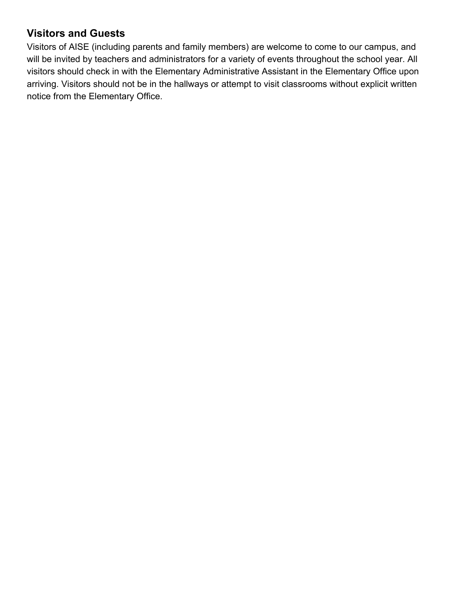# **Visitors and Guests**

Visitors of AISE (including parents and family members) are welcome to come to our campus, and will be invited by teachers and administrators for a variety of events throughout the school year. All visitors should check in with the Elementary Administrative Assistant in the Elementary Office upon arriving. Visitors should not be in the hallways or attempt to visit classrooms without explicit written notice from the Elementary Office.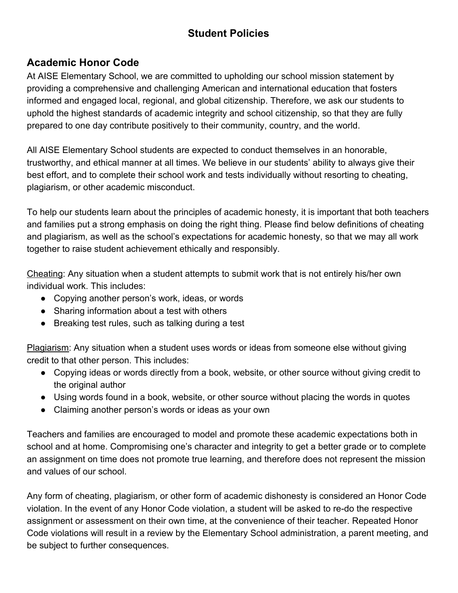# **Student Policies**

# **Academic Honor Code**

At AISE Elementary School, we are committed to upholding our school mission statement by providing a comprehensive and challenging American and international education that fosters informed and engaged local, regional, and global citizenship. Therefore, we ask our students to uphold the highest standards of academic integrity and school citizenship, so that they are fully prepared to one day contribute positively to their community, country, and the world.

All AISE Elementary School students are expected to conduct themselves in an honorable, trustworthy, and ethical manner at all times. We believe in our students' ability to always give their best effort, and to complete their school work and tests individually without resorting to cheating, plagiarism, or other academic misconduct.

To help our students learn about the principles of academic honesty, it is important that both teachers and families put a strong emphasis on doing the right thing. Please find below definitions of cheating and plagiarism, as well as the school's expectations for academic honesty, so that we may all work together to raise student achievement ethically and responsibly.

Cheating: Any situation when a student attempts to submit work that is not entirely his/her own individual work. This includes:

- Copying another person's work, ideas, or words
- Sharing information about a test with others
- Breaking test rules, such as talking during a test

Plagiarism: Any situation when a student uses words or ideas from someone else without giving credit to that other person. This includes:

- Copying ideas or words directly from a book, website, or other source without giving credit to the original author
- Using words found in a book, website, or other source without placing the words in quotes
- Claiming another person's words or ideas as your own

Teachers and families are encouraged to model and promote these academic expectations both in school and at home. Compromising one's character and integrity to get a better grade or to complete an assignment on time does not promote true learning, and therefore does not represent the mission and values of our school.

Any form of cheating, plagiarism, or other form of academic dishonesty is considered an Honor Code violation. In the event of any Honor Code violation, a student will be asked to re-do the respective assignment or assessment on their own time, at the convenience of their teacher. Repeated Honor Code violations will result in a review by the Elementary School administration, a parent meeting, and be subject to further consequences.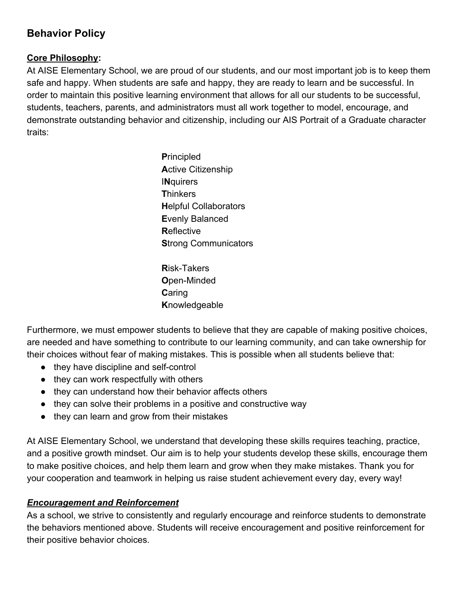# **Behavior Policy**

#### **Core Philosophy:**

At AISE Elementary School, we are proud of our students, and our most important job is to keep them safe and happy. When students are safe and happy, they are ready to learn and be successful. In order to maintain this positive learning environment that allows for all our students to be successful, students, teachers, parents, and administrators must all work together to model, encourage, and demonstrate outstanding behavior and citizenship, including our AIS Portrait of a Graduate character traits:

> **P**rincipled **A**ctive Citizenship I**N**quirers **T**hinkers **H**elpful Collaborators **E**venly Balanced **R**eflective **S**trong Communicators

**R**isk-Takers **O**pen-Minded **C**aring **K**nowledgeable

Furthermore, we must empower students to believe that they are capable of making positive choices, are needed and have something to contribute to our learning community, and can take ownership for their choices without fear of making mistakes. This is possible when all students believe that:

- they have discipline and self-control
- they can work respectfully with others
- they can understand how their behavior affects others
- they can solve their problems in a positive and constructive way
- they can learn and grow from their mistakes

At AISE Elementary School, we understand that developing these skills requires teaching, practice, and a positive growth mindset. Our aim is to help your students develop these skills, encourage them to make positive choices, and help them learn and grow when they make mistakes. Thank you for your cooperation and teamwork in helping us raise student achievement every day, every way!

#### *Encouragement and Reinforcement*

As a school, we strive to consistently and regularly encourage and reinforce students to demonstrate the behaviors mentioned above. Students will receive encouragement and positive reinforcement for their positive behavior choices.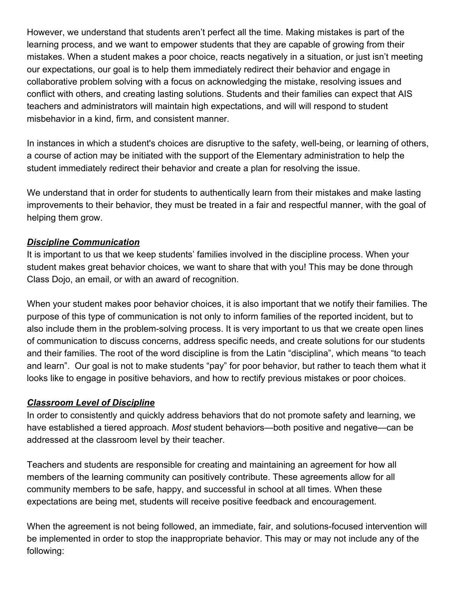However, we understand that students aren't perfect all the time. Making mistakes is part of the learning process, and we want to empower students that they are capable of growing from their mistakes. When a student makes a poor choice, reacts negatively in a situation, or just isn't meeting our expectations, our goal is to help them immediately redirect their behavior and engage in collaborative problem solving with a focus on acknowledging the mistake, resolving issues and conflict with others, and creating lasting solutions. Students and their families can expect that AIS teachers and administrators will maintain high expectations, and will will respond to student misbehavior in a kind, firm, and consistent manner.

In instances in which a student's choices are disruptive to the safety, well-being, or learning of others, a course of action may be initiated with the support of the Elementary administration to help the student immediately redirect their behavior and create a plan for resolving the issue.

We understand that in order for students to authentically learn from their mistakes and make lasting improvements to their behavior, they must be treated in a fair and respectful manner, with the goal of helping them grow.

#### *Discipline Communication*

It is important to us that we keep students' families involved in the discipline process. When your student makes great behavior choices, we want to share that with you! This may be done through Class Dojo, an email, or with an award of recognition.

When your student makes poor behavior choices, it is also important that we notify their families. The purpose of this type of communication is not only to inform families of the reported incident, but to also include them in the problem-solving process. It is very important to us that we create open lines of communication to discuss concerns, address specific needs, and create solutions for our students and their families. The root of the word discipline is from the Latin "disciplina", which means "to teach and learn". Our goal is not to make students "pay" for poor behavior, but rather to teach them what it looks like to engage in positive behaviors, and how to rectify previous mistakes or poor choices.

#### *Classroom Level of Discipline*

In order to consistently and quickly address behaviors that do not promote safety and learning, we have established a tiered approach. *Most* student behaviors—both positive and negative—can be addressed at the classroom level by their teacher.

Teachers and students are responsible for creating and maintaining an agreement for how all members of the learning community can positively contribute. These agreements allow for all community members to be safe, happy, and successful in school at all times. When these expectations are being met, students will receive positive feedback and encouragement.

When the agreement is not being followed, an immediate, fair, and solutions-focused intervention will be implemented in order to stop the inappropriate behavior. This may or may not include any of the following: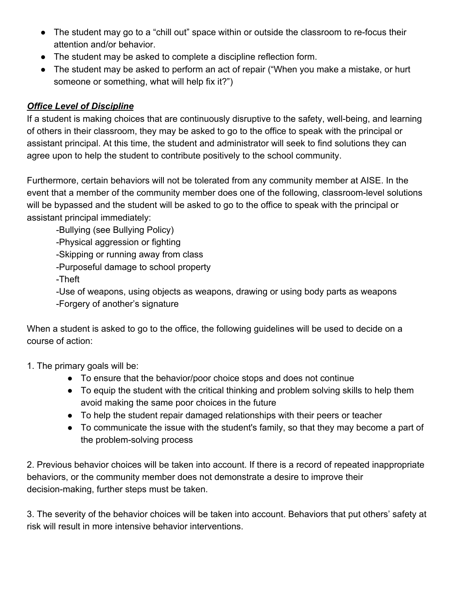- The student may go to a "chill out" space within or outside the classroom to re-focus their attention and/or behavior.
- The student may be asked to complete a discipline reflection form.
- The student may be asked to perform an act of repair ("When you make a mistake, or hurt someone or something, what will help fix it?")

#### *Office Level of Discipline*

If a student is making choices that are continuously disruptive to the safety, well-being, and learning of others in their classroom, they may be asked to go to the office to speak with the principal or assistant principal. At this time, the student and administrator will seek to find solutions they can agree upon to help the student to contribute positively to the school community.

Furthermore, certain behaviors will not be tolerated from any community member at AISE. In the event that a member of the community member does one of the following, classroom-level solutions will be bypassed and the student will be asked to go to the office to speak with the principal or assistant principal immediately:

-Bullying (see Bullying Policy)

-Physical aggression or fighting

-Skipping or running away from class

-Purposeful damage to school property

-Theft

-Use of weapons, using objects as weapons, drawing or using body parts as weapons -Forgery of another's signature

When a student is asked to go to the office, the following guidelines will be used to decide on a course of action:

1. The primary goals will be:

- To ensure that the behavior/poor choice stops and does not continue
- To equip the student with the critical thinking and problem solving skills to help them avoid making the same poor choices in the future
- To help the student repair damaged relationships with their peers or teacher
- To communicate the issue with the student's family, so that they may become a part of the problem-solving process

2. Previous behavior choices will be taken into account. If there is a record of repeated inappropriate behaviors, or the community member does not demonstrate a desire to improve their decision-making, further steps must be taken.

3. The severity of the behavior choices will be taken into account. Behaviors that put others' safety at risk will result in more intensive behavior interventions.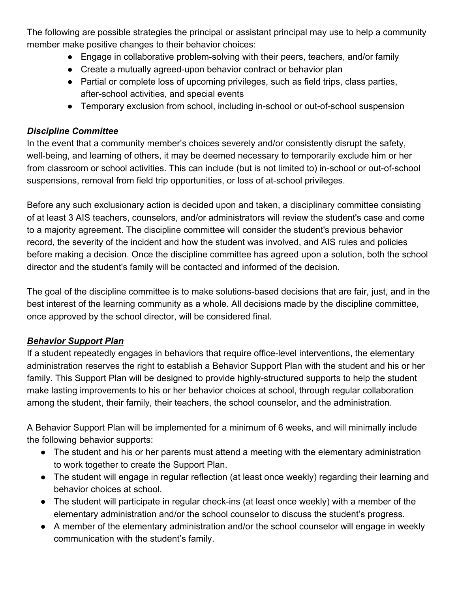The following are possible strategies the principal or assistant principal may use to help a community member make positive changes to their behavior choices:

- Engage in collaborative problem-solving with their peers, teachers, and/or family
- Create a mutually agreed-upon behavior contract or behavior plan
- Partial or complete loss of upcoming privileges, such as field trips, class parties, after-school activities, and special events
- Temporary exclusion from school, including in-school or out-of-school suspension

#### *Discipline Committee*

In the event that a community member's choices severely and/or consistently disrupt the safety, well-being, and learning of others, it may be deemed necessary to temporarily exclude him or her from classroom or school activities. This can include (but is not limited to) in-school or out-of-school suspensions, removal from field trip opportunities, or loss of at-school privileges.

Before any such exclusionary action is decided upon and taken, a disciplinary committee consisting of at least 3 AIS teachers, counselors, and/or administrators will review the student's case and come to a majority agreement. The discipline committee will consider the student's previous behavior record, the severity of the incident and how the student was involved, and AIS rules and policies before making a decision. Once the discipline committee has agreed upon a solution, both the school director and the student's family will be contacted and informed of the decision.

The goal of the discipline committee is to make solutions-based decisions that are fair, just, and in the best interest of the learning community as a whole. All decisions made by the discipline committee, once approved by the school director, will be considered final.

#### *Behavior Support Plan*

If a student repeatedly engages in behaviors that require office-level interventions, the elementary administration reserves the right to establish a Behavior Support Plan with the student and his or her family. This Support Plan will be designed to provide highly-structured supports to help the student make lasting improvements to his or her behavior choices at school, through regular collaboration among the student, their family, their teachers, the school counselor, and the administration.

A Behavior Support Plan will be implemented for a minimum of 6 weeks, and will minimally include the following behavior supports:

- The student and his or her parents must attend a meeting with the elementary administration to work together to create the Support Plan.
- The student will engage in regular reflection (at least once weekly) regarding their learning and behavior choices at school.
- The student will participate in regular check-ins (at least once weekly) with a member of the elementary administration and/or the school counselor to discuss the student's progress.
- A member of the elementary administration and/or the school counselor will engage in weekly communication with the student's family.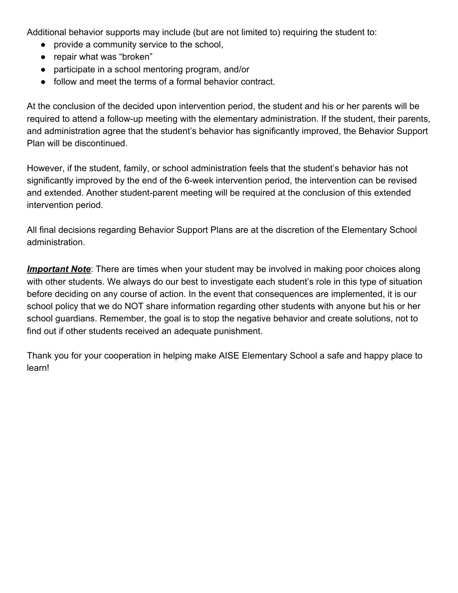Additional behavior supports may include (but are not limited to) requiring the student to:

- provide a community service to the school,
- repair what was "broken"
- participate in a school mentoring program, and/or
- follow and meet the terms of a formal behavior contract.

At the conclusion of the decided upon intervention period, the student and his or her parents will be required to attend a follow-up meeting with the elementary administration. If the student, their parents, and administration agree that the student's behavior has significantly improved, the Behavior Support Plan will be discontinued.

However, if the student, family, or school administration feels that the student's behavior has not significantly improved by the end of the 6-week intervention period, the intervention can be revised and extended. Another student-parent meeting will be required at the conclusion of this extended intervention period.

All final decisions regarding Behavior Support Plans are at the discretion of the Elementary School administration.

*Important Note*: There are times when your student may be involved in making poor choices along with other students. We always do our best to investigate each student's role in this type of situation before deciding on any course of action. In the event that consequences are implemented, it is our school policy that we do NOT share information regarding other students with anyone but his or her school guardians. Remember, the goal is to stop the negative behavior and create solutions, not to find out if other students received an adequate punishment.

Thank you for your cooperation in helping make AISE Elementary School a safe and happy place to learn!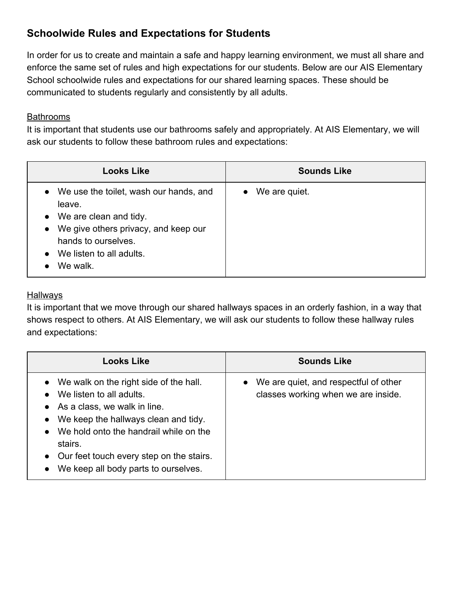# **Schoolwide Rules and Expectations for Students**

In order for us to create and maintain a safe and happy learning environment, we must all share and enforce the same set of rules and high expectations for our students. Below are our AIS Elementary School schoolwide rules and expectations for our shared learning spaces. These should be communicated to students regularly and consistently by all adults.

#### **Bathrooms**

It is important that students use our bathrooms safely and appropriately. At AIS Elementary, we will ask our students to follow these bathroom rules and expectations:

| <b>Looks Like</b>                                                                                                                                                                                  | <b>Sounds Like</b>         |
|----------------------------------------------------------------------------------------------------------------------------------------------------------------------------------------------------|----------------------------|
| • We use the toilet, wash our hands, and<br>leave.<br>• We are clean and tidy.<br>We give others privacy, and keep our<br>$\bullet$<br>hands to ourselves.<br>We listen to all adults.<br>We walk. | We are quiet.<br>$\bullet$ |

#### **Hallways**

It is important that we move through our shared hallways spaces in an orderly fashion, in a way that shows respect to others. At AIS Elementary, we will ask our students to follow these hallway rules and expectations:

| <b>Looks Like</b>                                                                                                                                                                                                                                                                                                                                     | <b>Sounds Like</b>                                                             |
|-------------------------------------------------------------------------------------------------------------------------------------------------------------------------------------------------------------------------------------------------------------------------------------------------------------------------------------------------------|--------------------------------------------------------------------------------|
| • We walk on the right side of the hall.<br>We listen to all adults.<br>$\bullet$<br>$\bullet$ As a class, we walk in line.<br>We keep the hallways clean and tidy.<br>$\bullet$<br>We hold onto the handrail while on the<br>$\bullet$<br>stairs.<br>• Our feet touch every step on the stairs.<br>We keep all body parts to ourselves.<br>$\bullet$ | • We are quiet, and respectful of other<br>classes working when we are inside. |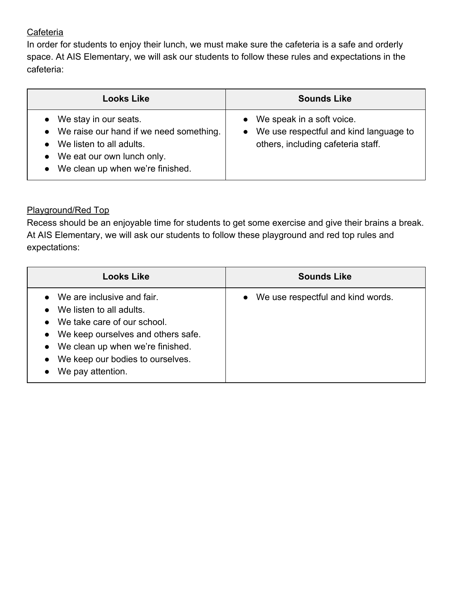#### **Cafeteria**

In order for students to enjoy their lunch, we must make sure the cafeteria is a safe and orderly space. At AIS Elementary, we will ask our students to follow these rules and expectations in the cafeteria:

| <b>Looks Like</b>                                                                                                                                                                        | <b>Sounds Like</b>                                                                                          |
|------------------------------------------------------------------------------------------------------------------------------------------------------------------------------------------|-------------------------------------------------------------------------------------------------------------|
| We stay in our seats.<br>We raise our hand if we need something.<br>$\bullet$<br>We listen to all adults.<br>We eat our own lunch only.<br>$\bullet$<br>We clean up when we're finished. | • We speak in a soft voice.<br>We use respectful and kind language to<br>others, including cafeteria staff. |

#### Playground/Red Top

Recess should be an enjoyable time for students to get some exercise and give their brains a break. At AIS Elementary, we will ask our students to follow these playground and red top rules and expectations:

| <b>Looks Like</b>                                                                                                                                                                                                                                       | <b>Sounds Like</b>                             |
|---------------------------------------------------------------------------------------------------------------------------------------------------------------------------------------------------------------------------------------------------------|------------------------------------------------|
| $\bullet$ We are inclusive and fair.<br>We listen to all adults.<br>$\bullet$<br>• We take care of our school.<br>• We keep ourselves and others safe.<br>• We clean up when we're finished.<br>• We keep our bodies to ourselves.<br>We pay attention. | We use respectful and kind words.<br>$\bullet$ |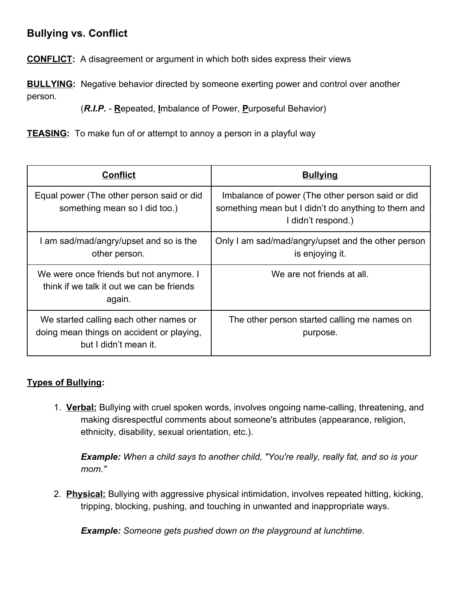# **Bullying vs. Conflict**

**CONFLICT:** A disagreement or argument in which both sides express their views

**BULLYING:** Negative behavior directed by someone exerting power and control over another person.

(*R.I.P.* - **R**epeated, **I**mbalance of Power, **P**urposeful Behavior)

**TEASING:** To make fun of or attempt to annoy a person in a playful way

| <b>Conflict</b>                                                                                              | <b>Bullying</b>                                                                                                               |
|--------------------------------------------------------------------------------------------------------------|-------------------------------------------------------------------------------------------------------------------------------|
| Equal power (The other person said or did<br>something mean so I did too.)                                   | Imbalance of power (The other person said or did<br>something mean but I didn't do anything to them and<br>I didn't respond.) |
| am sad/mad/angry/upset and so is the<br>other person.                                                        | Only I am sad/mad/angry/upset and the other person<br>is enjoying it.                                                         |
| We were once friends but not anymore. I<br>think if we talk it out we can be friends<br>again.               | We are not friends at all.                                                                                                    |
| We started calling each other names or<br>doing mean things on accident or playing,<br>but I didn't mean it. | The other person started calling me names on<br>purpose.                                                                      |

#### **Types of Bullying:**

1. **Verbal:** Bullying with cruel spoken words, involves ongoing name-calling, threatening, and making disrespectful comments about someone's attributes (appearance, religion, ethnicity, disability, sexual orientation, etc.).

*Example: When a child says to another child, "You're really, really fat, and so is your mom."*

2. **Physical:** Bullying with aggressive physical intimidation, involves repeated hitting, kicking, tripping, blocking, pushing, and touching in unwanted and inappropriate ways.

*Example: Someone gets pushed down on the playground at lunchtime.*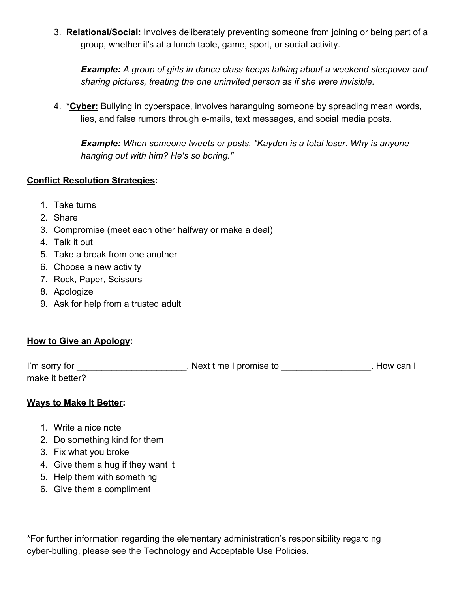3. **Relational/Social:** Involves deliberately preventing someone from joining or being part of a group, whether it's at a lunch table, game, sport, or social activity.

*Example: A group of girls in dance class keeps talking about a weekend sleepover and sharing pictures, treating the one uninvited person as if she were invisible.*

4. \***Cyber:** Bullying in cyberspace, involves haranguing someone by spreading mean words, lies, and false rumors through e-mails, text messages, and social media posts.

*Example: When someone tweets or posts, "Kayden is a total loser. Why is anyone hanging out with him? He's so boring."*

#### **Conflict Resolution Strategies:**

- 1. Take turns
- 2. Share
- 3. Compromise (meet each other halfway or make a deal)
- 4. Talk it out
- 5. Take a break from one another
- 6. Choose a new activity
- 7. Rock, Paper, Scissors
- 8. Apologize
- 9. Ask for help from a trusted adult

#### **How to Give an Apology:**

| I'm sorry for   | Next time I promise to | . How can I |
|-----------------|------------------------|-------------|
| make it better? |                        |             |

#### **Ways to Make It Better:**

- 1. Write a nice note
- 2. Do something kind for them
- 3. Fix what you broke
- 4. Give them a hug if they want it
- 5. Help them with something
- 6. Give them a compliment

\*For further information regarding the elementary administration's responsibility regarding cyber-bulling, please see the Technology and Acceptable Use Policies.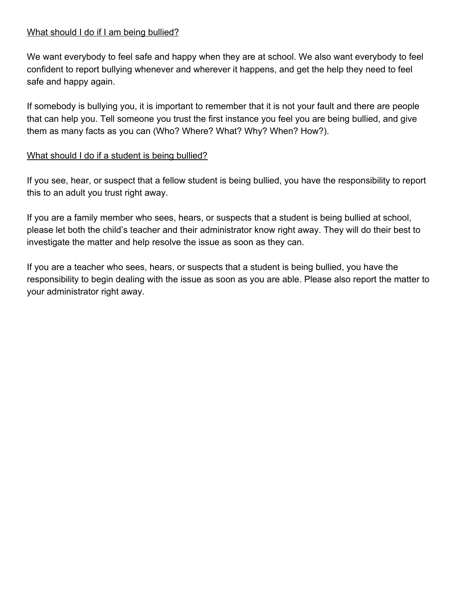#### What should I do if I am being bullied?

We want everybody to feel safe and happy when they are at school. We also want everybody to feel confident to report bullying whenever and wherever it happens, and get the help they need to feel safe and happy again.

If somebody is bullying you, it is important to remember that it is not your fault and there are people that can help you. Tell someone you trust the first instance you feel you are being bullied, and give them as many facts as you can (Who? Where? What? Why? When? How?).

#### What should I do if a student is being bullied?

If you see, hear, or suspect that a fellow student is being bullied, you have the responsibility to report this to an adult you trust right away.

If you are a family member who sees, hears, or suspects that a student is being bullied at school, please let both the child's teacher and their administrator know right away. They will do their best to investigate the matter and help resolve the issue as soon as they can.

If you are a teacher who sees, hears, or suspects that a student is being bullied, you have the responsibility to begin dealing with the issue as soon as you are able. Please also report the matter to your administrator right away.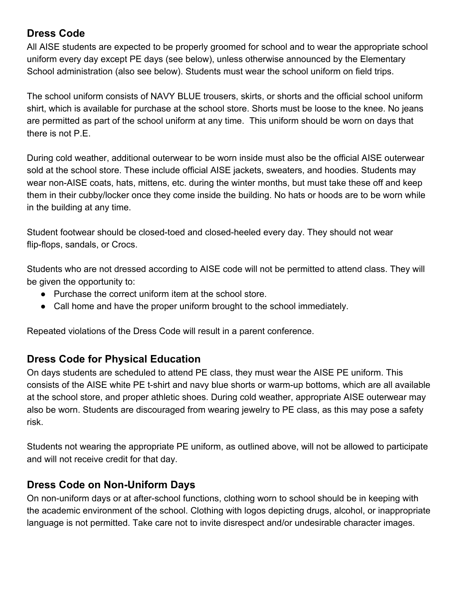# **Dress Code**

All AISE students are expected to be properly groomed for school and to wear the appropriate school uniform every day except PE days (see below), unless otherwise announced by the Elementary School administration (also see below). Students must wear the school uniform on field trips.

The school uniform consists of NAVY BLUE trousers, skirts, or shorts and the official school uniform shirt, which is available for purchase at the school store. Shorts must be loose to the knee. No jeans are permitted as part of the school uniform at any time. This uniform should be worn on days that there is not P.E.

During cold weather, additional outerwear to be worn inside must also be the official AISE outerwear sold at the school store. These include official AISE jackets, sweaters, and hoodies. Students may wear non-AISE coats, hats, mittens, etc. during the winter months, but must take these off and keep them in their cubby/locker once they come inside the building. No hats or hoods are to be worn while in the building at any time.

Student footwear should be closed-toed and closed-heeled every day. They should not wear flip-flops, sandals, or Crocs.

Students who are not dressed according to AISE code will not be permitted to attend class. They will be given the opportunity to:

- Purchase the correct uniform item at the school store.
- Call home and have the proper uniform brought to the school immediately.

Repeated violations of the Dress Code will result in a parent conference.

### **Dress Code for Physical Education**

On days students are scheduled to attend PE class, they must wear the AISE PE uniform. This consists of the AISE white PE t-shirt and navy blue shorts or warm-up bottoms, which are all available at the school store, and proper athletic shoes. During cold weather, appropriate AISE outerwear may also be worn. Students are discouraged from wearing jewelry to PE class, as this may pose a safety risk.

Students not wearing the appropriate PE uniform, as outlined above, will not be allowed to participate and will not receive credit for that day.

### **Dress Code on Non-Uniform Days**

On non-uniform days or at after-school functions, clothing worn to school should be in keeping with the academic environment of the school. Clothing with logos depicting drugs, alcohol, or inappropriate language is not permitted. Take care not to invite disrespect and/or undesirable character images.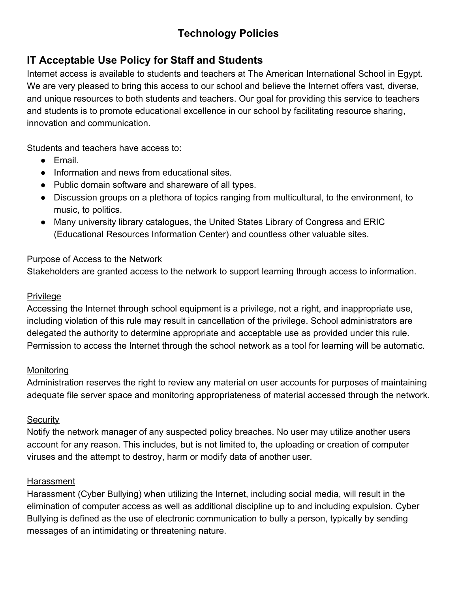# **Technology Policies**

# **IT Acceptable Use Policy for Staff and Students**

Internet access is available to students and teachers at The American International School in Egypt. We are very pleased to bring this access to our school and believe the Internet offers vast, diverse, and unique resources to both students and teachers. Our goal for providing this service to teachers and students is to promote educational excellence in our school by facilitating resource sharing, innovation and communication.

Students and teachers have access to:

- Email.
- Information and news from educational sites.
- Public domain software and shareware of all types.
- Discussion groups on a plethora of topics ranging from multicultural, to the environment, to music, to politics.
- Many university library catalogues, the United States Library of Congress and ERIC (Educational Resources Information Center) and countless other valuable sites.

#### Purpose of Access to the Network

Stakeholders are granted access to the network to support learning through access to information.

#### Privilege

Accessing the Internet through school equipment is a privilege, not a right, and inappropriate use, including violation of this rule may result in cancellation of the privilege. School administrators are delegated the authority to determine appropriate and acceptable use as provided under this rule. Permission to access the Internet through the school network as a tool for learning will be automatic.

#### **Monitoring**

Administration reserves the right to review any material on user accounts for purposes of maintaining adequate file server space and monitoring appropriateness of material accessed through the network.

#### **Security**

Notify the network manager of any suspected policy breaches. No user may utilize another users account for any reason. This includes, but is not limited to, the uploading or creation of computer viruses and the attempt to destroy, harm or modify data of another user.

#### **Harassment**

Harassment (Cyber Bullying) when utilizing the Internet, including social media, will result in the elimination of computer access as well as additional discipline up to and including expulsion. Cyber Bullying is defined as the use of electronic communication to bully a person, typically by sending messages of an intimidating or threatening nature.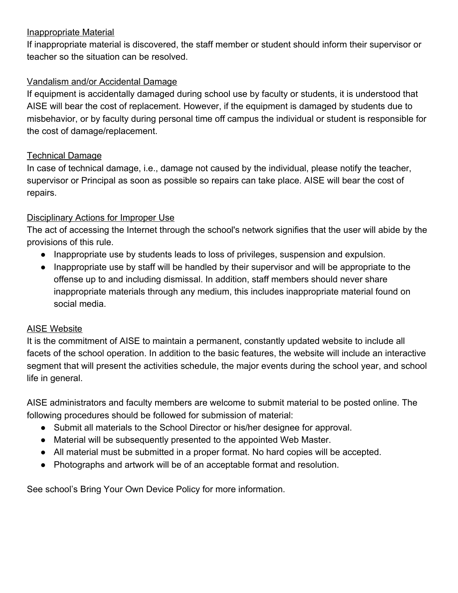#### Inappropriate Material

If inappropriate material is discovered, the staff member or student should inform their supervisor or teacher so the situation can be resolved.

#### Vandalism and/or Accidental Damage

If equipment is accidentally damaged during school use by faculty or students, it is understood that AISE will bear the cost of replacement. However, if the equipment is damaged by students due to misbehavior, or by faculty during personal time off campus the individual or student is responsible for the cost of damage/replacement.

#### Technical Damage

In case of technical damage, i.e., damage not caused by the individual, please notify the teacher, supervisor or Principal as soon as possible so repairs can take place. AISE will bear the cost of repairs.

#### Disciplinary Actions for Improper Use

The act of accessing the Internet through the school's network signifies that the user will abide by the provisions of this rule.

- Inappropriate use by students leads to loss of privileges, suspension and expulsion.
- Inappropriate use by staff will be handled by their supervisor and will be appropriate to the offense up to and including dismissal. In addition, staff members should never share inappropriate materials through any medium, this includes inappropriate material found on social media.

#### AISE Website

It is the commitment of AISE to maintain a permanent, constantly updated website to include all facets of the school operation. In addition to the basic features, the website will include an interactive segment that will present the activities schedule, the major events during the school year, and school life in general.

AISE administrators and faculty members are welcome to submit material to be posted online. The following procedures should be followed for submission of material:

- Submit all materials to the School Director or his/her designee for approval.
- Material will be subsequently presented to the appointed Web Master.
- All material must be submitted in a proper format. No hard copies will be accepted.
- Photographs and artwork will be of an acceptable format and resolution.

See school's Bring Your Own Device Policy for more information.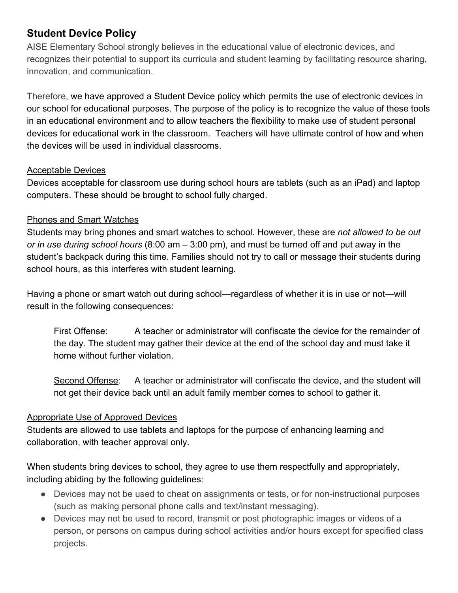# **Student Device Policy**

AISE Elementary School strongly believes in the educational value of electronic devices, and recognizes their potential to support its curricula and student learning by facilitating resource sharing, innovation, and communication.

Therefore, we have approved a Student Device policy which permits the use of electronic devices in our school for educational purposes. The purpose of the policy is to recognize the value of these tools in an educational environment and to allow teachers the flexibility to make use of student personal devices for educational work in the classroom. Teachers will have ultimate control of how and when the devices will be used in individual classrooms.

#### Acceptable Devices

Devices acceptable for classroom use during school hours are tablets (such as an iPad) and laptop computers. These should be brought to school fully charged.

#### Phones and Smart Watches

Students may bring phones and smart watches to school. However, these are *not allowed to be out or in use during school hours* (8:00 am – 3:00 pm), and must be turned off and put away in the student's backpack during this time. Families should not try to call or message their students during school hours, as this interferes with student learning.

Having a phone or smart watch out during school—regardless of whether it is in use or not—will result in the following consequences:

First Offense: A teacher or administrator will confiscate the device for the remainder of the day. The student may gather their device at the end of the school day and must take it home without further violation.

Second Offense: A teacher or administrator will confiscate the device, and the student will not get their device back until an adult family member comes to school to gather it.

#### Appropriate Use of Approved Devices

Students are allowed to use tablets and laptops for the purpose of enhancing learning and collaboration, with teacher approval only.

When students bring devices to school, they agree to use them respectfully and appropriately, including abiding by the following guidelines:

- Devices may not be used to cheat on assignments or tests, or for non-instructional purposes (such as making personal phone calls and text/instant messaging).
- Devices may not be used to record, transmit or post photographic images or videos of a person, or persons on campus during school activities and/or hours except for specified class projects.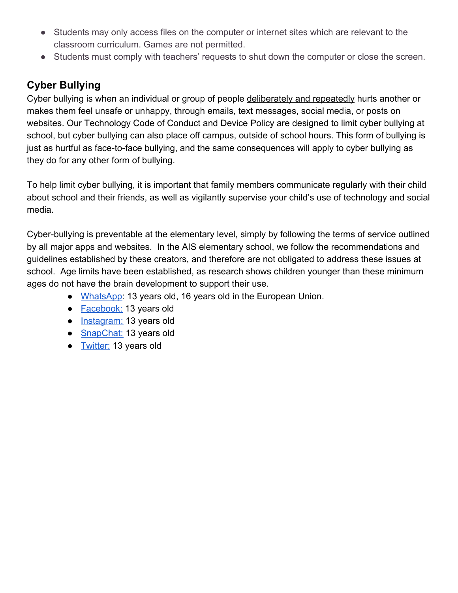- Students may only access files on the computer or internet sites which are relevant to the classroom curriculum. Games are not permitted.
- Students must comply with teachers' requests to shut down the computer or close the screen.

### **Cyber Bullying**

Cyber bullying is when an individual or group of people deliberately and repeatedly hurts another or makes them feel unsafe or unhappy, through emails, text messages, social media, or posts on websites. Our Technology Code of Conduct and Device Policy are designed to limit cyber bullying at school, but cyber bullying can also place off campus, outside of school hours. This form of bullying is just as hurtful as face-to-face bullying, and the same consequences will apply to cyber bullying as they do for any other form of bullying.

To help limit cyber bullying, it is important that family members communicate regularly with their child about school and their friends, as well as vigilantly supervise your child's use of technology and social media.

Cyber-bullying is preventable at the elementary level, simply by following the terms of service outlined by all major apps and websites. In the AIS elementary school, we follow the recommendations and guidelines established by these creators, and therefore are not obligated to address these issues at school. Age limits have been established, as research shows children younger than these minimum ages do not have the brain development to support their use.

- [WhatsApp:](https://faq.whatsapp.com/en/26000151/?category=5245250) 13 years old, 16 years old in the European Union.
- [Facebook:](https://m.facebook.com/help/157793540954833) 13 years old
- [Instagram:](https://help.instagram.com/517920941588885) 13 years old
- [SnapChat:](https://www.connectsafely.org/wp-content/uploads/snapchat_guide.pdf) 13 years old
- [Twitter:](https://twitter.com/en/tos) 13 years old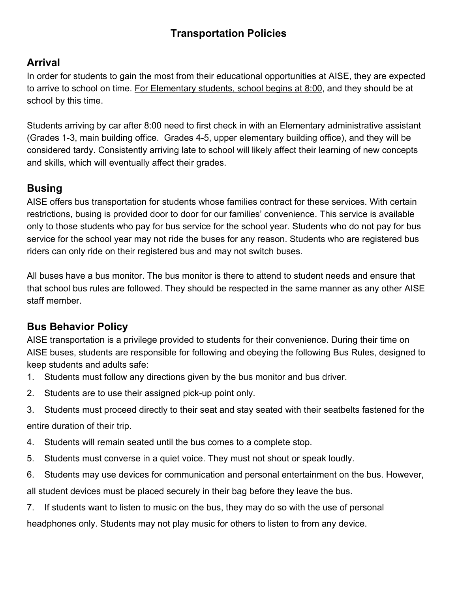# **Transportation Policies**

# **Arrival**

In order for students to gain the most from their educational opportunities at AISE, they are expected to arrive to school on time. For Elementary students, school begins at 8:00, and they should be at school by this time.

Students arriving by car after 8:00 need to first check in with an Elementary administrative assistant (Grades 1-3, main building office. Grades 4-5, upper elementary building office), and they will be considered tardy. Consistently arriving late to school will likely affect their learning of new concepts and skills, which will eventually affect their grades.

# **Busing**

AISE offers bus transportation for students whose families contract for these services. With certain restrictions, busing is provided door to door for our families' convenience. This service is available only to those students who pay for bus service for the school year. Students who do not pay for bus service for the school year may not ride the buses for any reason. Students who are registered bus riders can only ride on their registered bus and may not switch buses.

All buses have a bus monitor. The bus monitor is there to attend to student needs and ensure that that school bus rules are followed. They should be respected in the same manner as any other AISE staff member.

# **Bus Behavior Policy**

AISE transportation is a privilege provided to students for their convenience. During their time on AISE buses, students are responsible for following and obeying the following Bus Rules, designed to keep students and adults safe:

- 1. Students must follow any directions given by the bus monitor and bus driver.
- 2. Students are to use their assigned pick-up point only.
- 3. Students must proceed directly to their seat and stay seated with their seatbelts fastened for the entire duration of their trip.
- 4. Students will remain seated until the bus comes to a complete stop.
- 5. Students must converse in a quiet voice. They must not shout or speak loudly.
- 6. Students may use devices for communication and personal entertainment on the bus. However,

all student devices must be placed securely in their bag before they leave the bus.

7. If students want to listen to music on the bus, they may do so with the use of personal

headphones only. Students may not play music for others to listen to from any device.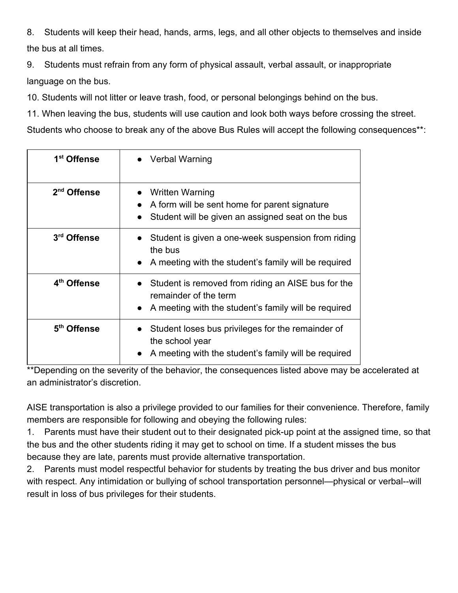8. Students will keep their head, hands, arms, legs, and all other objects to themselves and inside the bus at all times.

9. Students must refrain from any form of physical assault, verbal assault, or inappropriate language on the bus.

10. Students will not litter or leave trash, food, or personal belongings behind on the bus.

11. When leaving the bus, students will use caution and look both ways before crossing the street.

Students who choose to break any of the above Bus Rules will accept the following consequences\*\*:

| 1 <sup>st</sup> Offense | Verbal Warning                                                                                                                                     |  |
|-------------------------|----------------------------------------------------------------------------------------------------------------------------------------------------|--|
| 2 <sup>nd</sup> Offense | <b>Written Warning</b><br>A form will be sent home for parent signature<br>Student will be given an assigned seat on the bus                       |  |
| 3rd Offense             | Student is given a one-week suspension from riding<br>the bus<br>A meeting with the student's family will be required                              |  |
| 4 <sup>th</sup> Offense | • Student is removed from riding an AISE bus for the<br>remainder of the term<br>A meeting with the student's family will be required<br>$\bullet$ |  |
| 5 <sup>th</sup> Offense | Student loses bus privileges for the remainder of<br>the school year<br>A meeting with the student's family will be required                       |  |

\*\*Depending on the severity of the behavior, the consequences listed above may be accelerated at an administrator's discretion.

AISE transportation is also a privilege provided to our families for their convenience. Therefore, family members are responsible for following and obeying the following rules:

1. Parents must have their student out to their designated pick-up point at the assigned time, so that the bus and the other students riding it may get to school on time. If a student misses the bus because they are late, parents must provide alternative transportation.

2. Parents must model respectful behavior for students by treating the bus driver and bus monitor with respect. Any intimidation or bullying of school transportation personnel—physical or verbal--will result in loss of bus privileges for their students.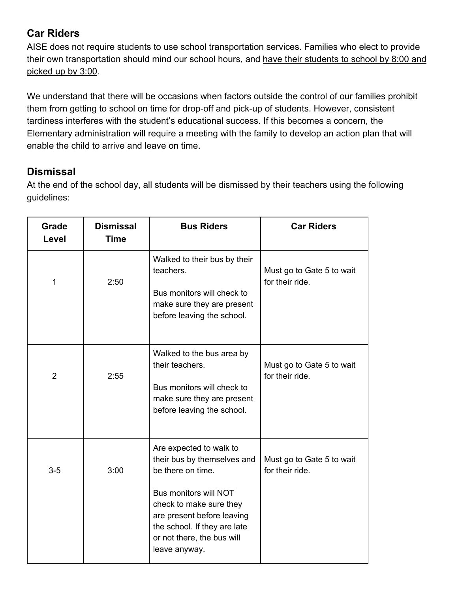# **Car Riders**

AISE does not require students to use school transportation services. Families who elect to provide their own transportation should mind our school hours, and have their students to school by 8:00 and picked up by 3:00.

We understand that there will be occasions when factors outside the control of our families prohibit them from getting to school on time for drop-off and pick-up of students. However, consistent tardiness interferes with the student's educational success. If this becomes a concern, the Elementary administration will require a meeting with the family to develop an action plan that will enable the child to arrive and leave on time.

# **Dismissal**

At the end of the school day, all students will be dismissed by their teachers using the following guidelines:

| Grade<br>Level | <b>Dismissal</b><br><b>Time</b> | <b>Bus Riders</b>                                                                                                                                                                                                                            | <b>Car Riders</b>                            |
|----------------|---------------------------------|----------------------------------------------------------------------------------------------------------------------------------------------------------------------------------------------------------------------------------------------|----------------------------------------------|
| 1              | 2:50                            | Walked to their bus by their<br>teachers.<br>Bus monitors will check to<br>make sure they are present<br>before leaving the school.                                                                                                          | Must go to Gate 5 to wait<br>for their ride. |
| $\overline{2}$ | 2:55                            | Walked to the bus area by<br>their teachers.<br>Bus monitors will check to<br>make sure they are present<br>before leaving the school.                                                                                                       | Must go to Gate 5 to wait<br>for their ride. |
| $3-5$          | 3:00                            | Are expected to walk to<br>their bus by themselves and<br>be there on time.<br>Bus monitors will NOT<br>check to make sure they<br>are present before leaving<br>the school. If they are late<br>or not there, the bus will<br>leave anyway. | Must go to Gate 5 to wait<br>for their ride. |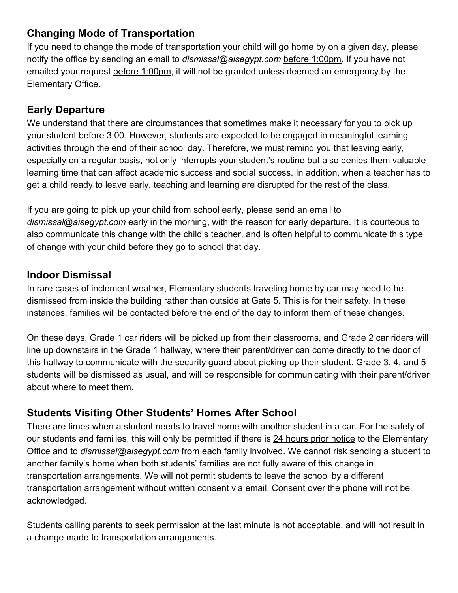# **Changing Mode of Transportation**

If you need to change the mode of transportation your child will go home by on a given day, please notify the office by sending an email to *dismissal@aisegypt.com* before 1:00pm. If you have not emailed your request before 1:00pm, it will not be granted unless deemed an emergency by the Elementary Office.

# **Early Departure**

We understand that there are circumstances that sometimes make it necessary for you to pick up your student before 3:00. However, students are expected to be engaged in meaningful learning activities through the end of their school day. Therefore, we must remind you that leaving early, especially on a regular basis, not only interrupts your student's routine but also denies them valuable learning time that can affect academic success and social success. In addition, when a teacher has to get a child ready to leave early, teaching and learning are disrupted for the rest of the class.

If you are going to pick up your child from school early, please send an email to *dismissal@aisegypt.com* early in the morning, with the reason for early departure. It is courteous to also communicate this change with the child's teacher, and is often helpful to communicate this type of change with your child before they go to school that day.

### **Indoor Dismissal**

In rare cases of inclement weather, Elementary students traveling home by car may need to be dismissed from inside the building rather than outside at Gate 5. This is for their safety. In these instances, families will be contacted before the end of the day to inform them of these changes.

On these days, Grade 1 car riders will be picked up from their classrooms, and Grade 2 car riders will line up downstairs in the Grade 1 hallway, where their parent/driver can come directly to the door of this hallway to communicate with the security guard about picking up their student. Grade 3, 4, and 5 students will be dismissed as usual, and will be responsible for communicating with their parent/driver about where to meet them.

# **Students Visiting Other Students' Homes After School**

There are times when a student needs to travel home with another student in a car. For the safety of our students and families, this will only be permitted if there is 24 hours prior notice to the Elementary Office and to *dismissal@aisegypt.com* from each family involved. We cannot risk sending a student to another family's home when both students' families are not fully aware of this change in transportation arrangements. We will not permit students to leave the school by a different transportation arrangement without written consent via email. Consent over the phone will not be acknowledged.

Students calling parents to seek permission at the last minute is not acceptable, and will not result in a change made to transportation arrangements.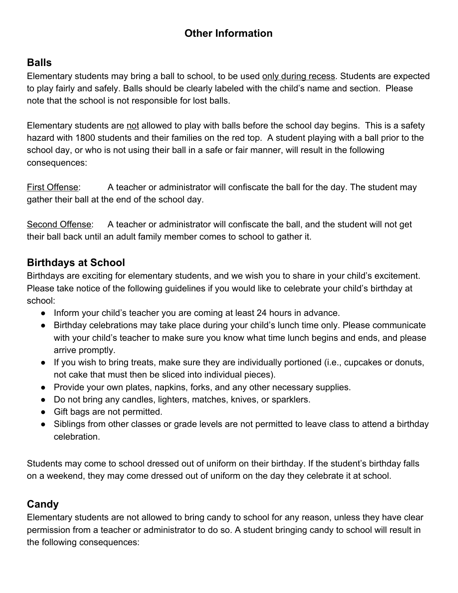# **Other Information**

### **Balls**

Elementary students may bring a ball to school, to be used only during recess. Students are expected to play fairly and safely. Balls should be clearly labeled with the child's name and section. Please note that the school is not responsible for lost balls.

Elementary students are not allowed to play with balls before the school day begins. This is a safety hazard with 1800 students and their families on the red top. A student playing with a ball prior to the school day, or who is not using their ball in a safe or fair manner, will result in the following consequences:

First Offense: A teacher or administrator will confiscate the ball for the day. The student may gather their ball at the end of the school day.

Second Offense: A teacher or administrator will confiscate the ball, and the student will not get their ball back until an adult family member comes to school to gather it.

# **Birthdays at School**

Birthdays are exciting for elementary students, and we wish you to share in your child's excitement. Please take notice of the following guidelines if you would like to celebrate your child's birthday at school:

- Inform your child's teacher you are coming at least 24 hours in advance.
- Birthday celebrations may take place during your child's lunch time only. Please communicate with your child's teacher to make sure you know what time lunch begins and ends, and please arrive promptly.
- If you wish to bring treats, make sure they are individually portioned (i.e., cupcakes or donuts, not cake that must then be sliced into individual pieces).
- Provide your own plates, napkins, forks, and any other necessary supplies.
- Do not bring any candles, lighters, matches, knives, or sparklers.
- Gift bags are not permitted.
- Siblings from other classes or grade levels are not permitted to leave class to attend a birthday celebration.

Students may come to school dressed out of uniform on their birthday. If the student's birthday falls on a weekend, they may come dressed out of uniform on the day they celebrate it at school.

### **Candy**

Elementary students are not allowed to bring candy to school for any reason, unless they have clear permission from a teacher or administrator to do so. A student bringing candy to school will result in the following consequences: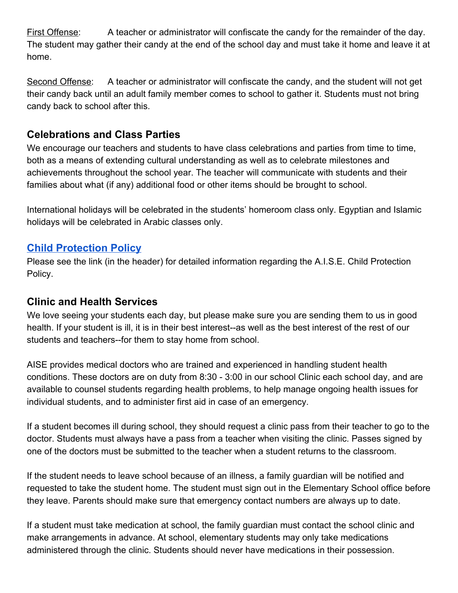First Offense: A teacher or administrator will confiscate the candy for the remainder of the day. The student may gather their candy at the end of the school day and must take it home and leave it at home.

Second Offense: A teacher or administrator will confiscate the candy, and the student will not get their candy back until an adult family member comes to school to gather it. Students must not bring candy back to school after this.

### **Celebrations and Class Parties**

We encourage our teachers and students to have class celebrations and parties from time to time, both as a means of extending cultural understanding as well as to celebrate milestones and achievements throughout the school year. The teacher will communicate with students and their families about what (if any) additional food or other items should be brought to school.

International holidays will be celebrated in the students' homeroom class only. Egyptian and Islamic holidays will be celebrated in Arabic classes only.

### **Child [Protection](https://docs.google.com/document/d/1fFBH8tyjB9uADVbDEox4LGFjkXPZm_puRp38E2HGw0c/edit?usp=sharing) Policy**

Please see the link (in the header) for detailed information regarding the A.I.S.E. Child Protection Policy.

#### **Clinic and Health Services**

We love seeing your students each day, but please make sure you are sending them to us in good health. If your student is ill, it is in their best interest--as well as the best interest of the rest of our students and teachers--for them to stay home from school.

AISE provides medical doctors who are trained and experienced in handling student health conditions. These doctors are on duty from 8:30 - 3:00 in our school Clinic each school day, and are available to counsel students regarding health problems, to help manage ongoing health issues for individual students, and to administer first aid in case of an emergency.

If a student becomes ill during school, they should request a clinic pass from their teacher to go to the doctor. Students must always have a pass from a teacher when visiting the clinic. Passes signed by one of the doctors must be submitted to the teacher when a student returns to the classroom.

If the student needs to leave school because of an illness, a family guardian will be notified and requested to take the student home. The student must sign out in the Elementary School office before they leave. Parents should make sure that emergency contact numbers are always up to date.

If a student must take medication at school, the family guardian must contact the school clinic and make arrangements in advance. At school, elementary students may only take medications administered through the clinic. Students should never have medications in their possession.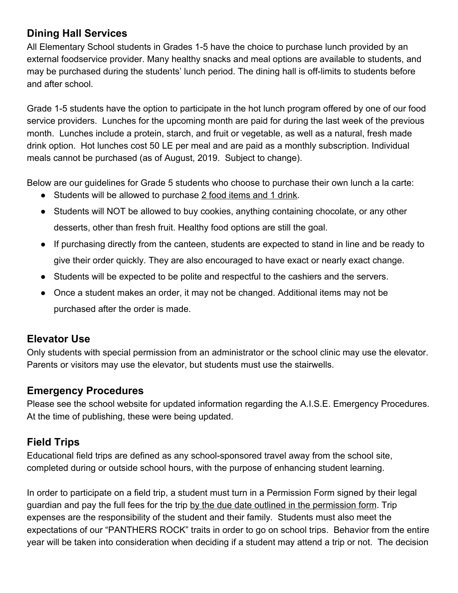# **Dining Hall Services**

All Elementary School students in Grades 1-5 have the choice to purchase lunch provided by an external foodservice provider. Many healthy snacks and meal options are available to students, and may be purchased during the students' lunch period. The dining hall is off-limits to students before and after school.

Grade 1-5 students have the option to participate in the hot lunch program offered by one of our food service providers. Lunches for the upcoming month are paid for during the last week of the previous month. Lunches include a protein, starch, and fruit or vegetable, as well as a natural, fresh made drink option. Hot lunches cost 50 LE per meal and are paid as a monthly subscription. Individual meals cannot be purchased (as of August, 2019. Subject to change).

Below are our guidelines for Grade 5 students who choose to purchase their own lunch a la carte:

- Students will be allowed to purchase 2 food items and 1 drink.
- Students will NOT be allowed to buy cookies, anything containing chocolate, or any other desserts, other than fresh fruit. Healthy food options are still the goal.
- If purchasing directly from the canteen, students are expected to stand in line and be ready to give their order quickly. They are also encouraged to have exact or nearly exact change.
- Students will be expected to be polite and respectful to the cashiers and the servers.
- Once a student makes an order, it may not be changed. Additional items may not be purchased after the order is made.

### **Elevator Use**

Only students with special permission from an administrator or the school clinic may use the elevator. Parents or visitors may use the elevator, but students must use the stairwells.

### **Emergency Procedures**

Please see the school website for updated information regarding the A.I.S.E. Emergency Procedures. At the time of publishing, these were being updated.

# **Field Trips**

Educational field trips are defined as any school-sponsored travel away from the school site, completed during or outside school hours, with the purpose of enhancing student learning.

In order to participate on a field trip, a student must turn in a Permission Form signed by their legal guardian and pay the full fees for the trip by the due date outlined in the permission form. Trip expenses are the responsibility of the student and their family. Students must also meet the expectations of our "PANTHERS ROCK" traits in order to go on school trips. Behavior from the entire year will be taken into consideration when deciding if a student may attend a trip or not. The decision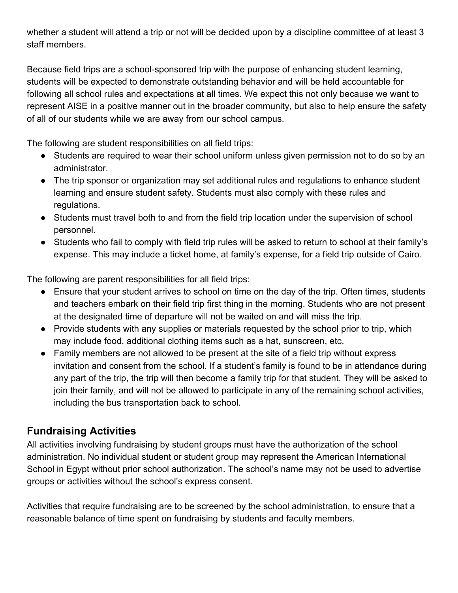whether a student will attend a trip or not will be decided upon by a discipline committee of at least 3 staff members.

Because field trips are a school-sponsored trip with the purpose of enhancing student learning, students will be expected to demonstrate outstanding behavior and will be held accountable for following all school rules and expectations at all times. We expect this not only because we want to represent AISE in a positive manner out in the broader community, but also to help ensure the safety of all of our students while we are away from our school campus.

The following are student responsibilities on all field trips:

- Students are required to wear their school uniform unless given permission not to do so by an administrator.
- The trip sponsor or organization may set additional rules and regulations to enhance student learning and ensure student safety. Students must also comply with these rules and regulations.
- Students must travel both to and from the field trip location under the supervision of school personnel.
- Students who fail to comply with field trip rules will be asked to return to school at their family's expense. This may include a ticket home, at family's expense, for a field trip outside of Cairo.

The following are parent responsibilities for all field trips:

- Ensure that your student arrives to school on time on the day of the trip. Often times, students and teachers embark on their field trip first thing in the morning. Students who are not present at the designated time of departure will not be waited on and will miss the trip.
- Provide students with any supplies or materials requested by the school prior to trip, which may include food, additional clothing items such as a hat, sunscreen, etc.
- Family members are not allowed to be present at the site of a field trip without express invitation and consent from the school. If a student's family is found to be in attendance during any part of the trip, the trip will then become a family trip for that student. They will be asked to join their family, and will not be allowed to participate in any of the remaining school activities, including the bus transportation back to school.

### **Fundraising Activities**

All activities involving fundraising by student groups must have the authorization of the school administration. No individual student or student group may represent the American International School in Egypt without prior school authorization. The school's name may not be used to advertise groups or activities without the school's express consent.

Activities that require fundraising are to be screened by the school administration, to ensure that a reasonable balance of time spent on fundraising by students and faculty members.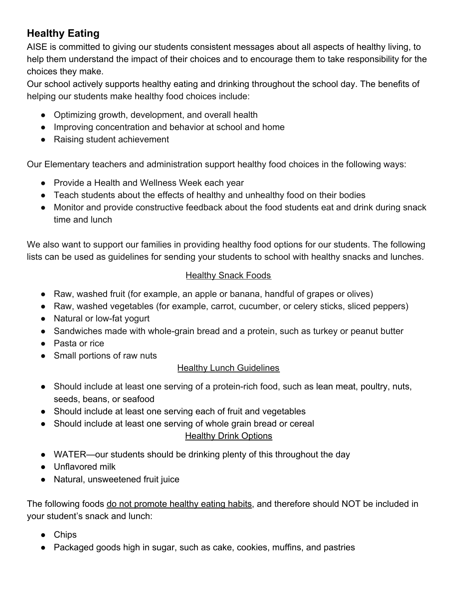# **Healthy Eating**

AISE is committed to giving our students consistent messages about all aspects of healthy living, to help them understand the impact of their choices and to encourage them to take responsibility for the choices they make.

Our school actively supports healthy eating and drinking throughout the school day. The benefits of helping our students make healthy food choices include:

- Optimizing growth, development, and overall health
- Improving concentration and behavior at school and home
- Raising student achievement

Our Elementary teachers and administration support healthy food choices in the following ways:

- Provide a Health and Wellness Week each year
- Teach students about the effects of healthy and unhealthy food on their bodies
- Monitor and provide constructive feedback about the food students eat and drink during snack time and lunch

We also want to support our families in providing healthy food options for our students. The following lists can be used as guidelines for sending your students to school with healthy snacks and lunches.

#### **Healthy Snack Foods**

- Raw, washed fruit (for example, an apple or banana, handful of grapes or olives)
- Raw, washed vegetables (for example, carrot, cucumber, or celery sticks, sliced peppers)
- Natural or low-fat yogurt
- Sandwiches made with whole-grain bread and a protein, such as turkey or peanut butter
- Pasta or rice
- Small portions of raw nuts

#### **Healthy Lunch Guidelines**

- Should include at least one serving of a protein-rich food, such as lean meat, poultry, nuts, seeds, beans, or seafood
- Should include at least one serving each of fruit and vegetables
- Should include at least one serving of whole grain bread or cereal

#### Healthy Drink Options

- WATER—our students should be drinking plenty of this throughout the day
- Unflavored milk
- Natural, unsweetened fruit juice

The following foods do not promote healthy eating habits, and therefore should NOT be included in your student's snack and lunch:

- **Chips**
- Packaged goods high in sugar, such as cake, cookies, muffins, and pastries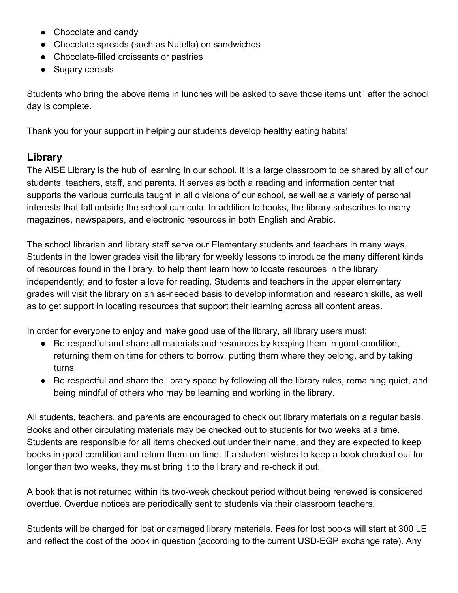- Chocolate and candy
- Chocolate spreads (such as Nutella) on sandwiches
- Chocolate-filled croissants or pastries
- Sugary cereals

Students who bring the above items in lunches will be asked to save those items until after the school day is complete.

Thank you for your support in helping our students develop healthy eating habits!

### **Library**

The AISE Library is the hub of learning in our school. It is a large classroom to be shared by all of our students, teachers, staff, and parents. It serves as both a reading and information center that supports the various curricula taught in all divisions of our school, as well as a variety of personal interests that fall outside the school curricula. In addition to books, the library subscribes to many magazines, newspapers, and electronic resources in both English and Arabic.

The school librarian and library staff serve our Elementary students and teachers in many ways. Students in the lower grades visit the library for weekly lessons to introduce the many different kinds of resources found in the library, to help them learn how to locate resources in the library independently, and to foster a love for reading. Students and teachers in the upper elementary grades will visit the library on an as-needed basis to develop information and research skills, as well as to get support in locating resources that support their learning across all content areas.

In order for everyone to enjoy and make good use of the library, all library users must:

- Be respectful and share all materials and resources by keeping them in good condition, returning them on time for others to borrow, putting them where they belong, and by taking turns.
- Be respectful and share the library space by following all the library rules, remaining quiet, and being mindful of others who may be learning and working in the library.

All students, teachers, and parents are encouraged to check out library materials on a regular basis. Books and other circulating materials may be checked out to students for two weeks at a time. Students are responsible for all items checked out under their name, and they are expected to keep books in good condition and return them on time. If a student wishes to keep a book checked out for longer than two weeks, they must bring it to the library and re-check it out.

A book that is not returned within its two-week checkout period without being renewed is considered overdue. Overdue notices are periodically sent to students via their classroom teachers.

Students will be charged for lost or damaged library materials. Fees for lost books will start at 300 LE and reflect the cost of the book in question (according to the current USD-EGP exchange rate). Any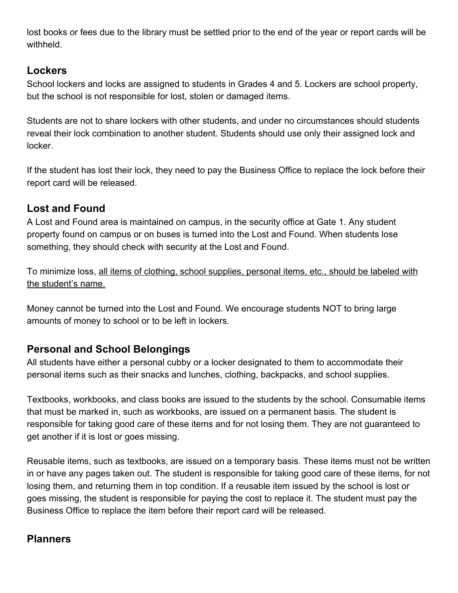lost books or fees due to the library must be settled prior to the end of the year or report cards will be withheld.

### **Lockers**

School lockers and locks are assigned to students in Grades 4 and 5. Lockers are school property, but the school is not responsible for lost, stolen or damaged items.

Students are not to share lockers with other students, and under no circumstances should students reveal their lock combination to another student. Students should use only their assigned lock and locker.

If the student has lost their lock, they need to pay the Business Office to replace the lock before their report card will be released.

# **Lost and Found**

A Lost and Found area is maintained on campus, in the security office at Gate 1. Any student property found on campus or on buses is turned into the Lost and Found. When students lose something, they should check with security at the Lost and Found.

To minimize loss, all items of clothing, school supplies, personal items, etc., should be labeled with the student's name.

Money cannot be turned into the Lost and Found. We encourage students NOT to bring large amounts of money to school or to be left in lockers.

# **Personal and School Belongings**

All students have either a personal cubby or a locker designated to them to accommodate their personal items such as their snacks and lunches, clothing, backpacks, and school supplies.

Textbooks, workbooks, and class books are issued to the students by the school. Consumable items that must be marked in, such as workbooks, are issued on a permanent basis. The student is responsible for taking good care of these items and for not losing them. They are not guaranteed to get another if it is lost or goes missing.

Reusable items, such as textbooks, are issued on a temporary basis. These items must not be written in or have any pages taken out. The student is responsible for taking good care of these items, for not losing them, and returning them in top condition. If a reusable item issued by the school is lost or goes missing, the student is responsible for paying the cost to replace it. The student must pay the Business Office to replace the item before their report card will be released.

### **Planners**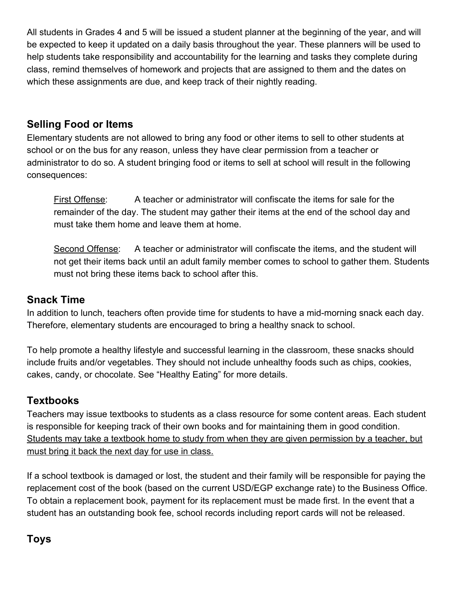All students in Grades 4 and 5 will be issued a student planner at the beginning of the year, and will be expected to keep it updated on a daily basis throughout the year. These planners will be used to help students take responsibility and accountability for the learning and tasks they complete during class, remind themselves of homework and projects that are assigned to them and the dates on which these assignments are due, and keep track of their nightly reading.

# **Selling Food or Items**

Elementary students are not allowed to bring any food or other items to sell to other students at school or on the bus for any reason, unless they have clear permission from a teacher or administrator to do so. A student bringing food or items to sell at school will result in the following consequences:

First Offense: A teacher or administrator will confiscate the items for sale for the remainder of the day. The student may gather their items at the end of the school day and must take them home and leave them at home.

Second Offense: A teacher or administrator will confiscate the items, and the student will not get their items back until an adult family member comes to school to gather them. Students must not bring these items back to school after this.

#### **Snack Time**

In addition to lunch, teachers often provide time for students to have a mid-morning snack each day. Therefore, elementary students are encouraged to bring a healthy snack to school.

To help promote a healthy lifestyle and successful learning in the classroom, these snacks should include fruits and/or vegetables. They should not include unhealthy foods such as chips, cookies, cakes, candy, or chocolate. See "Healthy Eating" for more details.

#### **Textbooks**

Teachers may issue textbooks to students as a class resource for some content areas. Each student is responsible for keeping track of their own books and for maintaining them in good condition. Students may take a textbook home to study from when they are given permission by a teacher, but must bring it back the next day for use in class.

If a school textbook is damaged or lost, the student and their family will be responsible for paying the replacement cost of the book (based on the current USD/EGP exchange rate) to the Business Office. To obtain a replacement book, payment for its replacement must be made first. In the event that a student has an outstanding book fee, school records including report cards will not be released.

### **Toys**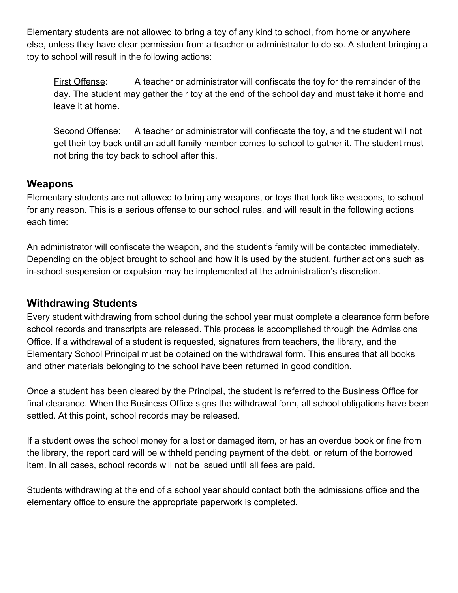Elementary students are not allowed to bring a toy of any kind to school, from home or anywhere else, unless they have clear permission from a teacher or administrator to do so. A student bringing a toy to school will result in the following actions:

First Offense: A teacher or administrator will confiscate the toy for the remainder of the day. The student may gather their toy at the end of the school day and must take it home and leave it at home.

Second Offense: A teacher or administrator will confiscate the toy, and the student will not get their toy back until an adult family member comes to school to gather it. The student must not bring the toy back to school after this.

#### **Weapons**

Elementary students are not allowed to bring any weapons, or toys that look like weapons, to school for any reason. This is a serious offense to our school rules, and will result in the following actions each time:

An administrator will confiscate the weapon, and the student's family will be contacted immediately. Depending on the object brought to school and how it is used by the student, further actions such as in-school suspension or expulsion may be implemented at the administration's discretion.

#### **Withdrawing Students**

Every student withdrawing from school during the school year must complete a clearance form before school records and transcripts are released. This process is accomplished through the Admissions Office. If a withdrawal of a student is requested, signatures from teachers, the library, and the Elementary School Principal must be obtained on the withdrawal form. This ensures that all books and other materials belonging to the school have been returned in good condition.

Once a student has been cleared by the Principal, the student is referred to the Business Office for final clearance. When the Business Office signs the withdrawal form, all school obligations have been settled. At this point, school records may be released.

If a student owes the school money for a lost or damaged item, or has an overdue book or fine from the library, the report card will be withheld pending payment of the debt, or return of the borrowed item. In all cases, school records will not be issued until all fees are paid.

Students withdrawing at the end of a school year should contact both the admissions office and the elementary office to ensure the appropriate paperwork is completed.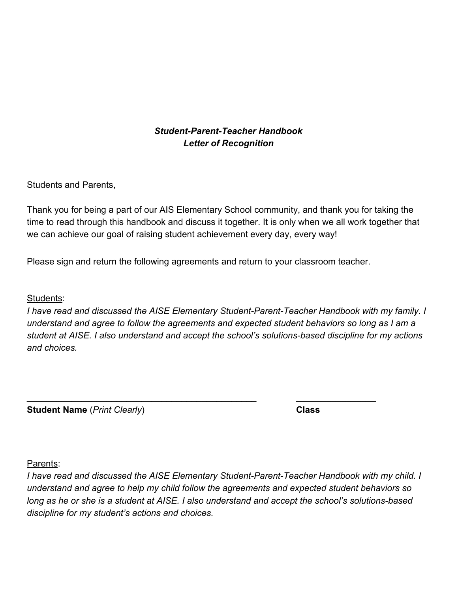#### *Student-Parent-Teacher Handbook Letter of Recognition*

Students and Parents,

Thank you for being a part of our AIS Elementary School community, and thank you for taking the time to read through this handbook and discuss it together. It is only when we all work together that we can achieve our goal of raising student achievement every day, every way!

Please sign and return the following agreements and return to your classroom teacher.

\_\_\_\_\_\_\_\_\_\_\_\_\_\_\_\_\_\_\_\_\_\_\_\_\_\_\_\_\_\_\_\_\_\_\_\_\_\_\_\_\_\_\_\_\_\_ \_\_\_\_\_\_\_\_\_\_\_\_\_\_\_\_

Students:

*I have read and discussed the AISE Elementary Student-Parent-Teacher Handbook with my family. I understand and agree to follow the agreements and expected student behaviors so long as I am a student at AISE. I also understand and accept the school's solutions-based discipline for my actions and choices.*

**Student Name** (*Print Clearly*) **Class**

Parents:

*I have read and discussed the AISE Elementary Student-Parent-Teacher Handbook with my child. I understand and agree to help my child follow the agreements and expected student behaviors so long as he or she is a student at AISE. I also understand and accept the school's solutions-based discipline for my student's actions and choices.*